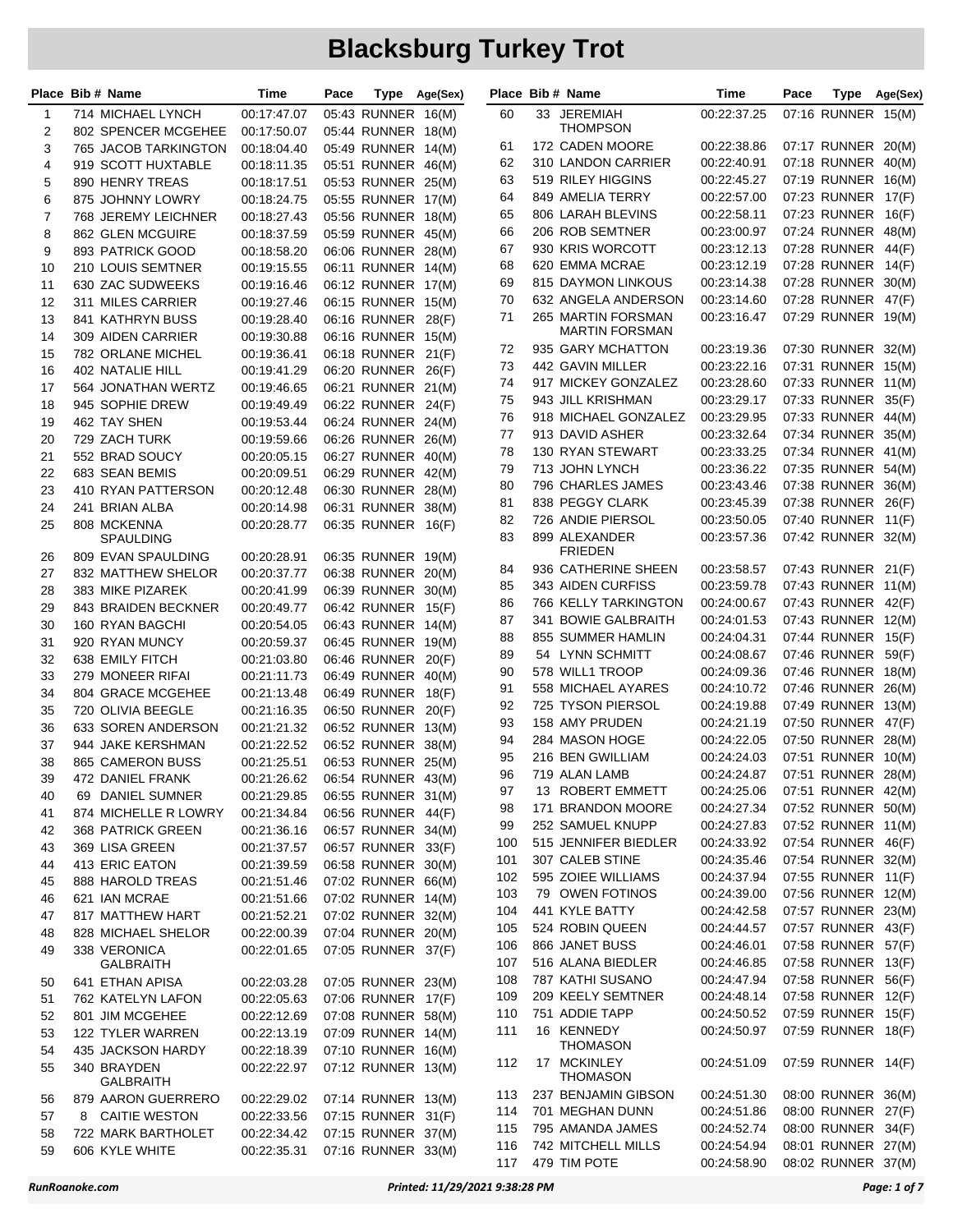|                | Place Bib # Name                       | Time                       | Pace |                                          | Type Age(Sex) |     | Place Bib # Name                     | Time                              | Pace |                    | Type Age(Sex) |
|----------------|----------------------------------------|----------------------------|------|------------------------------------------|---------------|-----|--------------------------------------|-----------------------------------|------|--------------------|---------------|
| -1             | 714 MICHAEL LYNCH                      | 00:17:47.07                |      | 05:43 RUNNER 16(M)                       |               | 60  | 33 JEREMIAH                          | 00:22:37.25                       |      | 07:16 RUNNER 15(M) |               |
| 2              | 802 SPENCER MCGEHEE                    | 00:17:50.07                |      | 05:44 RUNNER 18(M)                       |               |     | THOMPSON                             |                                   |      |                    |               |
| 3              | 765 JACOB TARKINGTON                   | 00:18:04.40                |      | 05:49 RUNNER 14(M)                       |               | 61  | 172 CADEN MOORE                      | 00:22:38.86                       |      | 07:17 RUNNER 20(M) |               |
| 4              | 919 SCOTT HUXTABLE                     | 00:18:11.35                |      | 05:51 RUNNER 46(M)                       |               | 62  | 310 LANDON CARRIER                   | 00:22:40.91                       |      | 07:18 RUNNER       | 40(M)         |
| 5              | 890 HENRY TREAS                        | 00:18:17.51                |      | 05:53 RUNNER 25(M)                       |               | 63  | 519 RILEY HIGGINS                    | 00:22:45.27                       |      | 07:19 RUNNER 16(M) |               |
| 6              | 875 JOHNNY LOWRY                       | 00:18:24.75                |      | 05:55 RUNNER 17(M)                       |               | 64  | 849 AMELIA TERRY                     | 00:22:57.00                       |      | 07:23 RUNNER 17(F) |               |
| $\overline{7}$ | 768 JEREMY LEICHNER                    | 00:18:27.43                |      | 05:56 RUNNER 18(M)                       |               | 65  | 806 LARAH BLEVINS                    | 00:22:58.11                       |      | 07:23 RUNNER 16(F) |               |
| 8              | 862 GLEN MCGUIRE                       | 00:18:37.59                |      | 05:59 RUNNER 45(M)                       |               | 66  | 206 ROB SEMTNER                      | 00:23:00.97                       |      | 07:24 RUNNER       | 48(M)         |
| 9              | 893 PATRICK GOOD                       | 00:18:58.20                |      | 06:06 RUNNER 28(M)                       |               | 67  | 930 KRIS WORCOTT                     | 00:23:12.13                       |      | 07:28 RUNNER 44(F) |               |
| 10             | 210 LOUIS SEMTNER                      | 00:19:15.55                |      | 06:11 RUNNER 14(M)                       |               | 68  | 620 EMMA MCRAE                       | 00:23:12.19                       |      | 07:28 RUNNER 14(F) |               |
| 11             | 630 ZAC SUDWEEKS                       | 00:19:16.46                |      | 06:12 RUNNER 17(M)                       |               | 69  | 815 DAYMON LINKOUS                   | 00:23:14.38                       |      | 07:28 RUNNER       | 30(M)         |
| 12             | 311 MILES CARRIER                      | 00:19:27.46                |      | 06:15 RUNNER 15(M)                       |               | 70  | 632 ANGELA ANDERSON                  | 00:23:14.60                       |      | 07:28 RUNNER 47(F) |               |
| 13             | 841 KATHRYN BUSS                       | 00:19:28.40                |      | 06:16 RUNNER                             | 28(F)         | 71  | 265 MARTIN FORSMAN<br>MARTIN FORSMAN | 00:23:16.47                       |      | 07:29 RUNNER 19(M) |               |
| 14             | 309 AIDEN CARRIER                      | 00:19:30.88                |      | 06:16 RUNNER 15(M)                       |               | 72  | 935 GARY MCHATTON                    | 00:23:19.36                       |      | 07:30 RUNNER 32(M) |               |
| 15             | 782 ORLANE MICHEL                      | 00:19:36.41                |      | 06:18 RUNNER                             | 21(F)         | 73  | 442 GAVIN MILLER                     | 00:23:22.16                       |      | 07:31 RUNNER 15(M) |               |
| 16             | 402 NATALIE HILL                       | 00:19:41.29                |      | 06:20 RUNNER 26(F)                       |               | 74  | 917 MICKEY GONZALEZ                  | 00:23:28.60                       |      | 07:33 RUNNER 11(M) |               |
| 17             | 564 JONATHAN WERTZ                     | 00:19:46.65                |      | 06:21 RUNNER 21(M)                       |               | 75  | 943 JILL KRISHMAN                    | 00:23:29.17                       |      | 07:33 RUNNER       | 35(F)         |
| 18             | 945 SOPHIE DREW                        | 00:19:49.49                |      | 06:22 RUNNER                             | 24(F)         | 76  | 918 MICHAEL GONZALEZ                 | 00:23:29.95                       |      | 07:33 RUNNER 44(M) |               |
| 19             | 462 TAY SHEN                           | 00:19:53.44                |      | 06:24 RUNNER 24(M)                       |               | 77  | 913 DAVID ASHER                      | 00:23:32.64                       |      | 07:34 RUNNER 35(M) |               |
| 20             | 729 ZACH TURK                          | 00:19:59.66                |      | 06:26 RUNNER 26(M)                       |               | 78  | 130 RYAN STEWART                     | 00:23:33.25                       |      | 07:34 RUNNER 41(M) |               |
| 21             | 552 BRAD SOUCY                         | 00:20:05.15                |      | 06:27 RUNNER 40(M)                       |               | 79  | 713 JOHN LYNCH                       | 00:23:36.22                       |      | 07:35 RUNNER 54(M) |               |
| 22             | 683 SEAN BEMIS                         | 00:20:09.51                |      | 06:29 RUNNER 42(M)                       |               | 80  | 796 CHARLES JAMES                    | 00:23:43.46                       |      | 07:38 RUNNER       | 36(M)         |
| 23             | 410 RYAN PATTERSON                     | 00:20:12.48                |      | 06:30 RUNNER 28(M)                       |               | 81  | 838 PEGGY CLARK                      | 00:23:45.39                       |      | 07:38 RUNNER       | 26(F)         |
| 24             | 241 BRIAN ALBA                         | 00:20:14.98                |      | 06:31 RUNNER 38(M)                       |               | 82  | 726 ANDIE PIERSOL                    | 00:23:50.05                       |      | 07:40 RUNNER 11(F) |               |
| 25             | 808 MCKENNA                            | 00:20:28.77                |      | 06:35 RUNNER                             | 16(F)         | 83  | 899 ALEXANDER                        | 00:23:57.36                       |      | 07:42 RUNNER 32(M) |               |
|                | SPAULDING                              |                            |      |                                          |               |     | <b>FRIEDEN</b>                       |                                   |      |                    |               |
| 26<br>27       | 809 EVAN SPAULDING                     | 00:20:28.91                |      | 06:35 RUNNER 19(M)<br>06:38 RUNNER 20(M) |               | 84  | 936 CATHERINE SHEEN                  | 00:23:58.57                       |      | 07:43 RUNNER 21(F) |               |
| 28             | 832 MATTHEW SHELOR<br>383 MIKE PIZAREK | 00:20:37.77                |      | 06:39 RUNNER 30(M)                       |               | 85  | 343 AIDEN CURFISS                    | 00:23:59.78                       |      | 07:43 RUNNER 11(M) |               |
| 29             | 843 BRAIDEN BECKNER                    | 00:20:41.99                |      | 06:42 RUNNER 15(F)                       |               | 86  | 766 KELLY TARKINGTON                 | 00:24:00.67                       |      | 07:43 RUNNER 42(F) |               |
| 30             | 160 RYAN BAGCHI                        | 00:20:49.77<br>00:20:54.05 |      | 06:43 RUNNER 14(M)                       |               | 87  | 341 BOWIE GALBRAITH                  | 00:24:01.53                       |      | 07:43 RUNNER 12(M) |               |
| 31             | 920 RYAN MUNCY                         | 00:20:59.37                |      | 06:45 RUNNER 19(M)                       |               | 88  | 855 SUMMER HAMLIN                    | 00:24:04.31                       |      | 07:44 RUNNER 15(F) |               |
| 32             | 638 EMILY FITCH                        | 00:21:03.80                |      | 06:46 RUNNER                             | 20(F)         | 89  | 54 LYNN SCHMITT                      | 00:24:08.67                       |      | 07:46 RUNNER 59(F) |               |
| 33             | 279 MONEER RIFAI                       | 00:21:11.73                |      | 06:49 RUNNER                             | 40(M)         | 90  | 578 WILL1 TROOP                      | 00:24:09.36                       |      | 07:46 RUNNER 18(M) |               |
| 34             | 804 GRACE MCGEHEE                      | 00:21:13.48                |      | 06:49 RUNNER                             | 18(F)         | 91  | 558 MICHAEL AYARES                   | 00:24:10.72                       |      | 07:46 RUNNER       | 26(M)         |
| 35             | 720 OLIVIA BEEGLE                      | 00:21:16.35                |      | 06:50 RUNNER                             | 20(F)         | 92  | 725 TYSON PIERSOL                    | 00:24:19.88                       |      | 07:49 RUNNER 13(M) |               |
| 36             | 633 SOREN ANDERSON                     | 00:21:21.32                |      | 06:52 RUNNER 13(M)                       |               | 93  | 158 AMY PRUDEN                       | 00:24:21.19                       |      | 07:50 RUNNER 47(F) |               |
| 37             | 944 JAKE KERSHMAN                      | 00:21:22.52                |      | 06:52 RUNNER                             | 38(M)         | 94  | 284 MASON HOGE                       | 00:24:22.05                       |      | 07:50 RUNNER 28(M) |               |
| 38             | 865 CAMERON BUSS                       | 00:21:25.51                |      | 06:53 RUNNER 25(M)                       |               | 95  | 216 BEN GWILLIAM                     | 00:24:24.03                       |      | 07:51 RUNNER 10(M) |               |
| 39             | 472 DANIEL FRANK                       | 00:21:26.62                |      | 06:54 RUNNER 43(M)                       |               | 96  | 719 ALAN LAMB                        | 00:24:24.87  07:51  RUNNER  28(M) |      |                    |               |
| 40             | 69 DANIEL SUMNER                       | 00:21:29.85                |      | 06:55 RUNNER 31(M)                       |               | 97  | 13 ROBERT EMMETT                     | 00:24:25.06                       |      | 07:51 RUNNER 42(M) |               |
| 41             | 874 MICHELLE R LOWRY                   | 00:21:34.84                |      | 06:56 RUNNER 44(F)                       |               | 98  | 171 BRANDON MOORE                    | 00:24:27.34                       |      | 07:52 RUNNER 50(M) |               |
| 42             | 368 PATRICK GREEN                      | 00:21:36.16                |      | 06:57 RUNNER 34(M)                       |               | 99  | 252 SAMUEL KNUPP                     | 00:24:27.83                       |      | 07:52 RUNNER 11(M) |               |
| 43             | 369 LISA GREEN                         | 00:21:37.57                |      | 06:57 RUNNER 33(F)                       |               | 100 | 515 JENNIFER BIEDLER                 | 00:24:33.92                       |      | 07:54 RUNNER 46(F) |               |
| 44             | 413 ERIC EATON                         | 00:21:39.59                |      | 06:58 RUNNER 30(M)                       |               | 101 | 307 CALEB STINE                      | 00:24:35.46                       |      | 07:54 RUNNER 32(M) |               |
| 45             | 888 HAROLD TREAS                       | 00:21:51.46                |      | 07:02 RUNNER 66(M)                       |               | 102 | 595 ZOIEE WILLIAMS                   | 00:24:37.94                       |      | 07:55 RUNNER 11(F) |               |
| 46             | 621 IAN MCRAE                          | 00:21:51.66                |      | 07:02 RUNNER 14(M)                       |               | 103 | 79 OWEN FOTINOS                      | 00:24:39.00                       |      | 07:56 RUNNER 12(M) |               |
| 47             | 817 MATTHEW HART                       | 00:21:52.21                |      | 07:02 RUNNER 32(M)                       |               | 104 | 441 KYLE BATTY                       | 00:24:42.58                       |      | 07:57 RUNNER 23(M) |               |
| 48             | 828 MICHAEL SHELOR                     | 00:22:00.39                |      | 07:04 RUNNER 20(M)                       |               | 105 | 524 ROBIN QUEEN                      | 00:24:44.57                       |      | 07:57 RUNNER 43(F) |               |
| 49             | 338 VERONICA                           | 00:22:01.65                |      | 07:05 RUNNER 37(F)                       |               | 106 | 866 JANET BUSS                       | 00:24:46.01                       |      | 07:58 RUNNER 57(F) |               |
|                | <b>GALBRAITH</b>                       |                            |      |                                          |               | 107 | 516 ALANA BIEDLER                    | 00:24:46.85                       |      | 07:58 RUNNER 13(F) |               |
| 50             | 641 ETHAN APISA                        | 00:22:03.28                |      | 07:05 RUNNER 23(M)                       |               | 108 | 787 KATHI SUSANO                     | 00:24:47.94                       |      | 07:58 RUNNER 56(F) |               |
| 51             | 762 KATELYN LAFON                      | 00:22:05.63                |      | 07:06 RUNNER 17(F)                       |               | 109 | 209 KEELY SEMTNER                    | 00:24:48.14                       |      | 07:58 RUNNER 12(F) |               |
| 52             | 801 JIM MCGEHEE                        | 00:22:12.69                |      | 07:08 RUNNER 58(M)                       |               | 110 | 751 ADDIE TAPP                       | 00:24:50.52                       |      | 07:59 RUNNER 15(F) |               |
| 53             | 122 TYLER WARREN                       | 00:22:13.19                |      | 07:09 RUNNER 14(M)                       |               | 111 | 16 KENNEDY                           | 00:24:50.97                       |      | 07:59 RUNNER 18(F) |               |
| 54             | 435 JACKSON HARDY                      | 00:22:18.39                |      | 07:10 RUNNER 16(M)                       |               |     | THOMASON                             |                                   |      |                    |               |
| 55             | 340 BRAYDEN<br>GALBRAITH               | 00:22:22.97                |      | 07:12 RUNNER 13(M)                       |               | 112 | 17 MCKINLEY<br><b>THOMASON</b>       | 00:24:51.09                       |      | 07:59 RUNNER 14(F) |               |
| 56             | 879 AARON GUERRERO                     | 00:22:29.02                |      | 07:14 RUNNER 13(M)                       |               | 113 | 237 BENJAMIN GIBSON                  | 00:24:51.30                       |      | 08:00 RUNNER 36(M) |               |
| 57             | 8 CAITIE WESTON                        | 00:22:33.56                |      | 07:15 RUNNER 31(F)                       |               | 114 | 701 MEGHAN DUNN                      | 00:24:51.86                       |      | 08:00 RUNNER 27(F) |               |
| 58             | 722 MARK BARTHOLET                     | 00:22:34.42                |      | 07:15 RUNNER 37(M)                       |               | 115 | 795 AMANDA JAMES                     | 00:24:52.74                       |      | 08:00 RUNNER 34(F) |               |
| 59             | 606 KYLE WHITE                         | 00:22:35.31                |      | 07:16 RUNNER 33(M)                       |               | 116 | 742 MITCHELL MILLS                   | 00:24:54.94                       |      | 08:01 RUNNER 27(M) |               |
|                |                                        |                            |      |                                          |               | 117 | 479 TIM POTE                         | 00:24:58.90                       |      | 08:02 RUNNER 37(M) |               |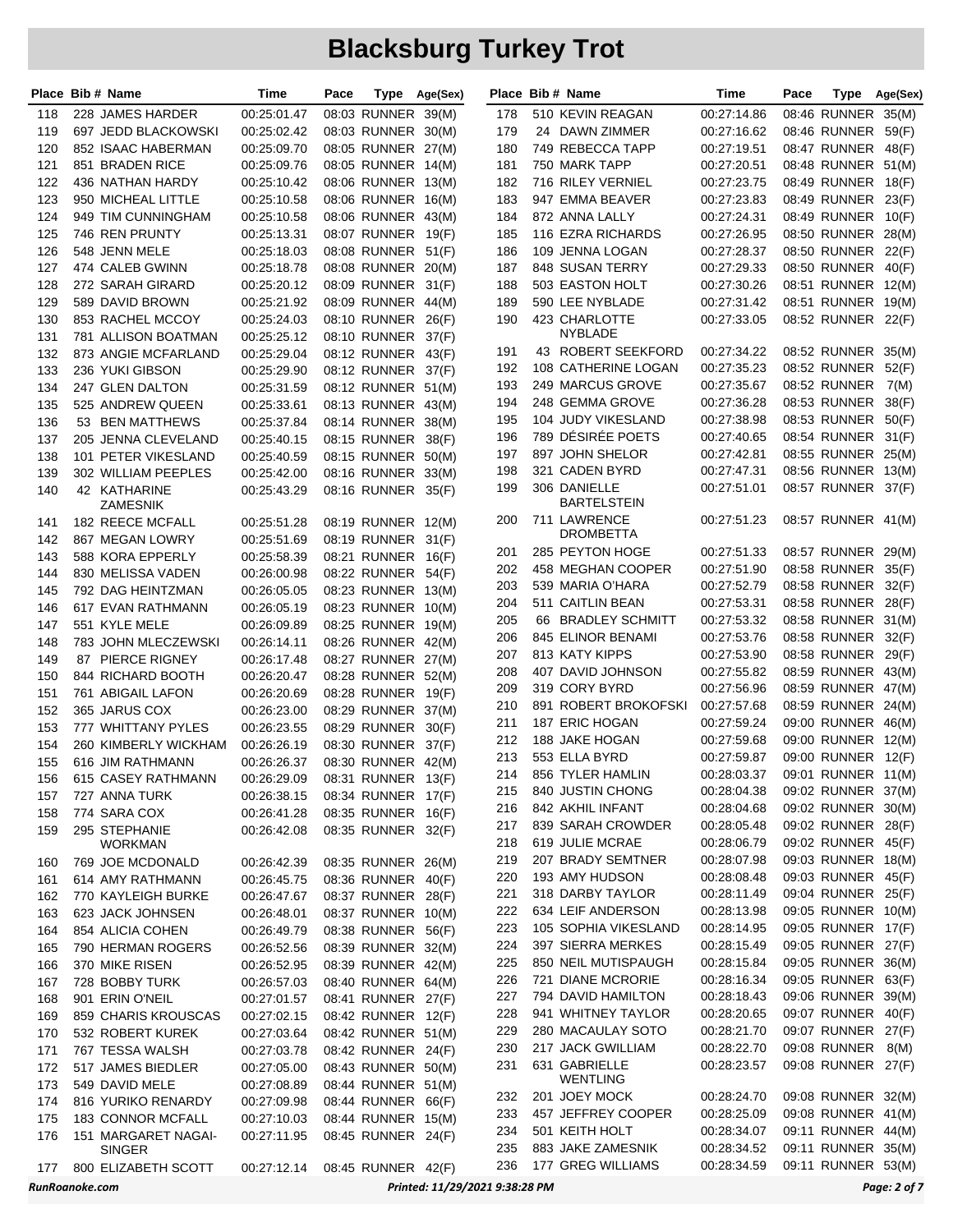| Place Bib # Name |                                       | Time                       | Pace |                                          | Type Age(Sex)                  |     | Place Bib # Name                   | Time        | Pace |                    | Type Age(Sex) |
|------------------|---------------------------------------|----------------------------|------|------------------------------------------|--------------------------------|-----|------------------------------------|-------------|------|--------------------|---------------|
| 118              | 228 JAMES HARDER                      | 00:25:01.47                |      | 08:03 RUNNER 39(M)                       |                                | 178 | 510 KEVIN REAGAN                   | 00:27:14.86 |      | 08:46 RUNNER 35(M) |               |
| 119              | 697 JEDD BLACKOWSKI                   | 00:25:02.42                |      | 08:03 RUNNER 30(M)                       |                                | 179 | 24 DAWN ZIMMER                     | 00:27:16.62 |      | 08:46 RUNNER       | 59(F)         |
| 120              | 852 ISAAC HABERMAN                    | 00:25:09.70                |      | 08:05 RUNNER 27(M)                       |                                | 180 | 749 REBECCA TAPP                   | 00:27:19.51 |      | 08:47 RUNNER 48(F) |               |
| 121              | 851 BRADEN RICE                       | 00:25:09.76                |      | 08:05 RUNNER 14(M)                       |                                | 181 | 750 MARK TAPP                      | 00:27:20.51 |      | 08:48 RUNNER 51(M) |               |
| 122              | 436 NATHAN HARDY                      | 00:25:10.42                |      | 08:06 RUNNER 13(M)                       |                                | 182 | 716 RILEY VERNIEL                  | 00:27:23.75 |      | 08:49 RUNNER 18(F) |               |
| 123              | 950 MICHEAL LITTLE                    | 00:25:10.58                |      | 08:06 RUNNER 16(M)                       |                                | 183 | 947 EMMA BEAVER                    | 00:27:23.83 |      | 08:49 RUNNER       | 23(F)         |
| 124              | 949 TIM CUNNINGHAM                    | 00:25:10.58                |      | 08:06 RUNNER 43(M)                       |                                | 184 | 872 ANNA LALLY                     | 00:27:24.31 |      | 08:49 RUNNER       | 10(F)         |
| 125              | 746 REN PRUNTY                        | 00:25:13.31                |      | 08:07 RUNNER 19(F)                       |                                | 185 | 116 EZRA RICHARDS                  | 00:27:26.95 |      | 08:50 RUNNER 28(M) |               |
| 126              | 548 JENN MELE                         | 00:25:18.03                |      | 08:08 RUNNER 51(F)                       |                                | 186 | 109 JENNA LOGAN                    | 00:27:28.37 |      | 08:50 RUNNER       | 22(F)         |
| 127              | 474 CALEB GWINN                       | 00:25:18.78                |      | 08:08 RUNNER 20(M)                       |                                | 187 | 848 SUSAN TERRY                    | 00:27:29.33 |      | 08:50 RUNNER 40(F) |               |
| 128              | 272 SARAH GIRARD                      | 00:25:20.12                |      | 08:09 RUNNER 31(F)                       |                                | 188 | 503 EASTON HOLT                    | 00:27:30.26 |      | 08:51 RUNNER 12(M) |               |
| 129              | 589 DAVID BROWN                       | 00:25:21.92                |      | 08:09 RUNNER 44(M)                       |                                | 189 | 590 LEE NYBLADE                    | 00:27:31.42 |      | 08:51 RUNNER 19(M) |               |
| 130              | 853 RACHEL MCCOY                      | 00:25:24.03                |      | 08:10 RUNNER 26(F)                       |                                | 190 | 423 CHARLOTTE                      | 00:27:33.05 |      | 08:52 RUNNER 22(F) |               |
| 131              | 781 ALLISON BOATMAN                   | 00:25:25.12                |      | 08:10 RUNNER 37(F)                       |                                |     | NYBLADE                            |             |      |                    |               |
| 132              | 873 ANGIE MCFARLAND                   | 00:25:29.04                |      | 08:12 RUNNER 43(F)                       |                                | 191 | 43 ROBERT SEEKFORD                 | 00:27:34.22 |      | 08:52 RUNNER 35(M) |               |
| 133              | 236 YUKI GIBSON                       | 00:25:29.90                |      | 08:12 RUNNER 37(F)                       |                                | 192 | 108 CATHERINE LOGAN                | 00:27:35.23 |      | 08:52 RUNNER       | 52(F)         |
| 134              | 247 GLEN DALTON                       | 00:25:31.59                |      | 08:12 RUNNER 51(M)                       |                                | 193 | 249 MARCUS GROVE                   | 00:27:35.67 |      | 08:52 RUNNER       | 7(M)          |
| 135              | 525 ANDREW QUEEN                      | 00:25:33.61                |      | 08:13 RUNNER 43(M)                       |                                | 194 | 248 GEMMA GROVE                    | 00:27:36.28 |      | 08:53 RUNNER       | 38(F)         |
| 136              | 53 BEN MATTHEWS                       | 00:25:37.84                |      | 08:14 RUNNER 38(M)                       |                                | 195 | 104 JUDY VIKESLAND                 | 00:27:38.98 |      | 08:53 RUNNER       | 50(F)         |
| 137              | 205 JENNA CLEVELAND                   | 00:25:40.15                |      | 08:15 RUNNER 38(F)                       |                                | 196 | 789 DÉSIRÉE POETS                  | 00:27:40.65 |      | 08:54 RUNNER 31(F) |               |
| 138              | 101 PETER VIKESLAND                   | 00:25:40.59                |      | 08:15 RUNNER 50(M)                       |                                | 197 | 897 JOHN SHELOR                    | 00:27:42.81 |      | 08:55 RUNNER 25(M) |               |
| 139              | 302 WILLIAM PEEPLES                   | 00:25:42.00                |      | 08:16 RUNNER 33(M)                       |                                | 198 | 321 CADEN BYRD                     | 00:27:47.31 |      | 08:56 RUNNER 13(M) |               |
| 140              | 42 KATHARINE                          | 00:25:43.29                |      | 08:16 RUNNER 35(F)                       |                                | 199 | 306 DANIELLE<br><b>BARTELSTEIN</b> | 00:27:51.01 |      | 08:57 RUNNER 37(F) |               |
| 141              | ZAMESNIK<br>182 REECE MCFALL          | 00:25:51.28                |      | 08:19 RUNNER 12(M)                       |                                | 200 | 711 LAWRENCE                       | 00:27:51.23 |      | 08:57 RUNNER 41(M) |               |
| 142              |                                       |                            |      |                                          |                                |     | <b>DROMBETTA</b>                   |             |      |                    |               |
| 143              | 867 MEGAN LOWRY                       | 00:25:51.69<br>00:25:58.39 |      | 08:19 RUNNER 31(F)                       |                                | 201 | 285 PEYTON HOGE                    | 00:27:51.33 |      | 08:57 RUNNER 29(M) |               |
| 144              | 588 KORA EPPERLY<br>830 MELISSA VADEN | 00:26:00.98                |      | 08:21 RUNNER 16(F)<br>08:22 RUNNER 54(F) |                                | 202 | 458 MEGHAN COOPER                  | 00:27:51.90 |      | 08:58 RUNNER       | 35(F)         |
| 145              | 792 DAG HEINTZMAN                     | 00:26:05.05                |      | 08:23 RUNNER 13(M)                       |                                | 203 | 539 MARIA O'HARA                   | 00:27:52.79 |      | 08:58 RUNNER 32(F) |               |
| 146              | 617 EVAN RATHMANN                     | 00:26:05.19                |      | 08:23 RUNNER 10(M)                       |                                | 204 | 511 CAITLIN BEAN                   | 00:27:53.31 |      | 08:58 RUNNER       | 28(F)         |
| 147              | 551 KYLE MELE                         | 00:26:09.89                |      | 08:25 RUNNER 19(M)                       |                                | 205 | 66 BRADLEY SCHMITT                 | 00:27:53.32 |      | 08:58 RUNNER 31(M) |               |
| 148              | 783 JOHN MLECZEWSKI                   | 00:26:14.11                |      | 08:26 RUNNER 42(M)                       |                                | 206 | 845 ELINOR BENAMI                  | 00:27:53.76 |      | 08:58 RUNNER 32(F) |               |
| 149              | 87 PIERCE RIGNEY                      | 00:26:17.48                |      | 08:27 RUNNER 27(M)                       |                                | 207 | 813 KATY KIPPS                     | 00:27:53.90 |      | 08:58 RUNNER       | 29(F)         |
| 150              | 844 RICHARD BOOTH                     | 00:26:20.47                |      | 08:28 RUNNER 52(M)                       |                                | 208 | 407 DAVID JOHNSON                  | 00:27:55.82 |      | 08:59 RUNNER 43(M) |               |
| 151              | 761 ABIGAIL LAFON                     | 00:26:20.69                |      | 08:28 RUNNER 19(F)                       |                                | 209 | 319 CORY BYRD                      | 00:27:56.96 |      | 08:59 RUNNER 47(M) |               |
| 152              | 365 JARUS COX                         | 00:26:23.00                |      | 08:29 RUNNER 37(M)                       |                                | 210 | 891 ROBERT BROKOFSKI               | 00:27:57.68 |      | 08:59 RUNNER 24(M) |               |
| 153              | 777 WHITTANY PYLES                    | 00:26:23.55                |      | 08:29 RUNNER 30(F)                       |                                | 211 | 187 ERIC HOGAN                     | 00:27:59.24 |      | 09:00 RUNNER 46(M) |               |
| 154              | 260 KIMBERLY WICKHAM                  | 00:26:26.19                |      | 08:30 RUNNER 37(F)                       |                                | 212 | 188 JAKE HOGAN                     | 00:27:59.68 |      | 09:00 RUNNER 12(M) |               |
| 155              | 616 JIM RATHMANN                      | 00:26:26.37                |      | 08:30 RUNNER 42(M)                       |                                | 213 | 553 ELLA BYRD                      | 00:27:59.87 |      | 09:00 RUNNER 12(F) |               |
| 156              | 615 CASEY RATHMANN                    | 00:26:29.09                |      | 08:31 RUNNER 13(F)                       |                                | 214 | 856 TYLER HAMLIN                   | 00:28:03.37 |      | 09:01 RUNNER 11(M) |               |
| 157              | 727 ANNA TURK                         | 00:26:38.15                |      | 08:34 RUNNER 17(F)                       |                                | 215 | 840 JUSTIN CHONG                   | 00:28:04.38 |      | 09:02 RUNNER 37(M) |               |
| 158              | 774 SARA COX                          | 00:26:41.28                |      | 08:35 RUNNER 16(F)                       |                                | 216 | 842 AKHIL INFANT                   | 00:28:04.68 |      | 09:02 RUNNER 30(M) |               |
| 159              | 295 STEPHANIE                         | 00:26:42.08                |      | 08:35 RUNNER 32(F)                       |                                | 217 | 839 SARAH CROWDER                  | 00:28:05.48 |      | 09:02 RUNNER 28(F) |               |
|                  | <b>WORKMAN</b>                        |                            |      |                                          |                                | 218 | 619 JULIE MCRAE                    | 00:28:06.79 |      | 09:02 RUNNER 45(F) |               |
| 160              | 769 JOE MCDONALD                      | 00:26:42.39                |      | 08:35 RUNNER 26(M)                       |                                | 219 | 207 BRADY SEMTNER                  | 00:28:07.98 |      | 09:03 RUNNER 18(M) |               |
| 161              | 614 AMY RATHMANN                      | 00:26:45.75                |      | 08:36 RUNNER 40(F)                       |                                | 220 | 193 AMY HUDSON                     | 00:28:08.48 |      | 09:03 RUNNER 45(F) |               |
| 162              | 770 KAYLEIGH BURKE                    | 00:26:47.67                |      | 08:37 RUNNER 28(F)                       |                                | 221 | 318 DARBY TAYLOR                   | 00:28:11.49 |      | 09:04 RUNNER 25(F) |               |
| 163              | 623 JACK JOHNSEN                      | 00:26:48.01                |      | 08:37 RUNNER 10(M)                       |                                | 222 | 634 LEIF ANDERSON                  | 00:28:13.98 |      | 09:05 RUNNER 10(M) |               |
| 164              | 854 ALICIA COHEN                      | 00:26:49.79                |      | 08:38 RUNNER 56(F)                       |                                | 223 | 105 SOPHIA VIKESLAND               | 00:28:14.95 |      | 09:05 RUNNER 17(F) |               |
| 165              | 790 HERMAN ROGERS                     | 00:26:52.56                |      | 08:39 RUNNER 32(M)                       |                                | 224 | 397 SIERRA MERKES                  | 00:28:15.49 |      | 09:05 RUNNER 27(F) |               |
| 166              | 370 MIKE RISEN                        | 00:26:52.95                |      | 08:39 RUNNER 42(M)                       |                                | 225 | 850 NEIL MUTISPAUGH                | 00:28:15.84 |      | 09:05 RUNNER 36(M) |               |
| 167              | 728 BOBBY TURK                        | 00:26:57.03                |      | 08:40 RUNNER 64(M)                       |                                | 226 | 721 DIANE MCRORIE                  | 00:28:16.34 |      | 09:05 RUNNER 63(F) |               |
| 168              | 901 ERIN O'NEIL                       | 00:27:01.57                |      | 08:41 RUNNER 27(F)                       |                                | 227 | 794 DAVID HAMILTON                 | 00:28:18.43 |      | 09:06 RUNNER 39(M) |               |
| 169              | 859 CHARIS KROUSCAS                   | 00:27:02.15                |      | 08:42 RUNNER 12(F)                       |                                | 228 | 941 WHITNEY TAYLOR                 | 00:28:20.65 |      | 09:07 RUNNER 40(F) |               |
| 170              | 532 ROBERT KUREK                      | 00:27:03.64                |      | 08:42 RUNNER 51(M)                       |                                | 229 | 280 MACAULAY SOTO                  | 00:28:21.70 |      | 09:07 RUNNER 27(F) |               |
| 171              | 767 TESSA WALSH                       | 00:27:03.78                |      | 08:42 RUNNER 24(F)                       |                                | 230 | 217 JACK GWILLIAM                  | 00:28:22.70 |      | 09:08 RUNNER 8(M)  |               |
| 172              | 517 JAMES BIEDLER                     | 00:27:05.00                |      | 08:43 RUNNER 50(M)                       |                                | 231 | 631 GABRIELLE<br><b>WENTLING</b>   | 00:28:23.57 |      | 09:08 RUNNER 27(F) |               |
| 173              | 549 DAVID MELE                        | 00:27:08.89                |      | 08:44 RUNNER 51(M)                       |                                | 232 | 201 JOEY MOCK                      | 00:28:24.70 |      | 09:08 RUNNER 32(M) |               |
| 174              | 816 YURIKO RENARDY                    | 00:27:09.98                |      | 08:44 RUNNER 66(F)                       |                                | 233 | 457 JEFFREY COOPER                 | 00:28:25.09 |      | 09:08 RUNNER 41(M) |               |
| 175              | 183 CONNOR MCFALL                     | 00:27:10.03                |      | 08:44 RUNNER 15(M)                       |                                | 234 | 501 KEITH HOLT                     | 00:28:34.07 |      | 09:11 RUNNER 44(M) |               |
| 176              | 151 MARGARET NAGAI-<br><b>SINGER</b>  | 00:27:11.95                |      | 08:45 RUNNER 24(F)                       |                                | 235 | 883 JAKE ZAMESNIK                  | 00:28:34.52 |      | 09:11 RUNNER 35(M) |               |
| 177              | 800 ELIZABETH SCOTT                   | 00:27:12.14                |      | 08:45 RUNNER 42(F)                       |                                | 236 | 177 GREG WILLIAMS                  | 00:28:34.59 |      | 09:11 RUNNER 53(M) |               |
| RunRoanoke.com   |                                       |                            |      |                                          | Printed: 11/29/2021 9:38:28 PM |     |                                    |             |      |                    | Page: 2 of 7  |
|                  |                                       |                            |      |                                          |                                |     |                                    |             |      |                    |               |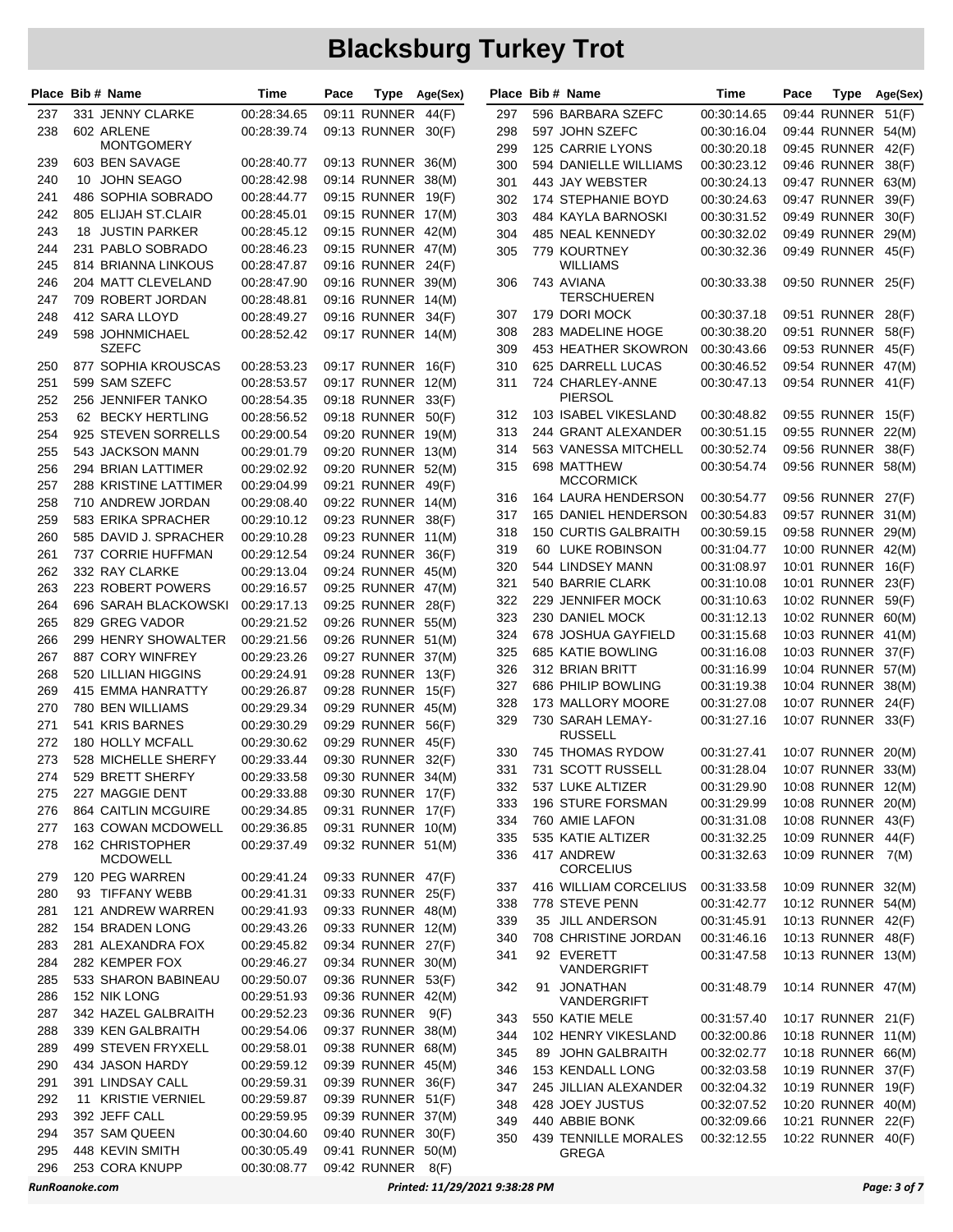|            | Place Bib # Name                       | Time                       | Pace |                                          | Type Age(Sex) |     | Place Bib # Name            | Time        | Pace | Type               | Age(Sex) |
|------------|----------------------------------------|----------------------------|------|------------------------------------------|---------------|-----|-----------------------------|-------------|------|--------------------|----------|
| 237        | 331 JENNY CLARKE                       | 00:28:34.65                |      | 09:11 RUNNER                             | 44(F)         | 297 | 596 BARBARA SZEFC           | 00:30:14.65 |      | 09:44 RUNNER       | 51(F)    |
| 238        | 602 ARLENE                             | 00:28:39.74                |      | 09:13 RUNNER                             | 30(F)         | 298 | 597 JOHN SZEFC              | 00:30:16.04 |      | 09:44 RUNNER 54(M) |          |
|            | <b>MONTGOMERY</b>                      |                            |      |                                          |               | 299 | 125 CARRIE LYONS            | 00:30:20.18 |      | 09:45 RUNNER 42(F) |          |
| 239        | 603 BEN SAVAGE                         | 00:28:40.77                |      | 09:13 RUNNER 36(M)                       |               | 300 | 594 DANIELLE WILLIAMS       | 00:30:23.12 |      | 09:46 RUNNER       | 38(F)    |
| 240        | 10 JOHN SEAGO                          | 00:28:42.98                |      | 09:14 RUNNER 38(M)                       |               | 301 | 443 JAY WEBSTER             | 00:30:24.13 |      | 09:47 RUNNER 63(M) |          |
| 241        | 486 SOPHIA SOBRADO                     | 00:28:44.77                |      | 09:15 RUNNER 19(F)                       |               | 302 | 174 STEPHANIE BOYD          | 00:30:24.63 |      | 09:47 RUNNER       | 39(F)    |
| 242        | 805 ELIJAH ST.CLAIR                    | 00:28:45.01                |      | 09:15 RUNNER 17(M)                       |               | 303 | 484 KAYLA BARNOSKI          | 00:30:31.52 |      | 09:49 RUNNER       | 30(F)    |
| 243        | 18 JUSTIN PARKER                       | 00:28:45.12                |      | 09:15 RUNNER 42(M)                       |               | 304 | 485 NEAL KENNEDY            | 00:30:32.02 |      | 09:49 RUNNER       | 29(M)    |
| 244        | 231 PABLO SOBRADO                      | 00:28:46.23                |      | 09:15 RUNNER 47(M)                       |               | 305 | 779 KOURTNEY                | 00:30:32.36 |      | 09:49 RUNNER 45(F) |          |
| 245        | 814 BRIANNA LINKOUS                    | 00:28:47.87                |      | 09:16 RUNNER                             | 24(F)         |     | WILLIAMS                    |             |      |                    |          |
| 246        | 204 MATT CLEVELAND                     | 00:28:47.90                |      | 09:16 RUNNER 39(M)                       |               | 306 | 743 AVIANA                  | 00:30:33.38 |      | 09:50 RUNNER 25(F) |          |
| 247        | 709 ROBERT JORDAN                      | 00:28:48.81                |      | 09:16 RUNNER 14(M)                       |               |     | TERSCHUEREN                 |             |      |                    |          |
| 248        | 412 SARA LLOYD                         | 00:28:49.27                |      | 09:16 RUNNER 34(F)                       |               | 307 | 179 DORI MOCK               | 00:30:37.18 |      | 09:51 RUNNER       | 28(F)    |
| 249        | 598 JOHNMICHAEL                        | 00:28:52.42                |      | 09:17 RUNNER 14(M)                       |               | 308 | 283 MADELINE HOGE           | 00:30:38.20 |      | 09:51 RUNNER 58(F) |          |
|            | SZEFC                                  |                            |      |                                          |               | 309 | 453 HEATHER SKOWRON         | 00:30:43.66 |      | 09:53 RUNNER 45(F) |          |
| 250        | 877 SOPHIA KROUSCAS                    | 00:28:53.23                |      | 09:17 RUNNER 16(F)                       |               | 310 | 625 DARRELL LUCAS           | 00:30:46.52 |      | 09:54 RUNNER 47(M) |          |
| 251        | 599 SAM SZEFC                          | 00:28:53.57                |      | 09:17 RUNNER 12(M)                       |               | 311 | 724 CHARLEY-ANNE<br>PIERSOL | 00:30:47.13 |      | 09:54 RUNNER 41(F) |          |
| 252        | 256 JENNIFER TANKO                     | 00:28:54.35                |      | 09:18 RUNNER 33(F)                       |               | 312 | 103 ISABEL VIKESLAND        | 00:30:48.82 |      | 09:55 RUNNER 15(F) |          |
| 253        | 62 BECKY HERTLING                      | 00:28:56.52                |      | 09:18 RUNNER                             | 50(F)         | 313 | 244 GRANT ALEXANDER         | 00:30:51.15 |      | 09:55 RUNNER       | 22(M)    |
| 254        | 925 STEVEN SORRELLS                    | 00:29:00.54                |      | 09:20 RUNNER 19(M)                       |               |     | 563 VANESSA MITCHELL        | 00:30:52.74 |      | 09:56 RUNNER       |          |
| 255        | 543 JACKSON MANN                       | 00:29:01.79                |      | 09:20 RUNNER 13(M)                       |               | 314 | 698 MATTHEW                 | 00:30:54.74 |      | 09:56 RUNNER 58(M) | 38(F)    |
| 256        | 294 BRIAN LATTIMER                     | 00:29:02.92                |      | 09:20 RUNNER 52(M)                       |               | 315 | MCCORMICK                   |             |      |                    |          |
| 257        | 288 KRISTINE LATTIMER                  | 00:29:04.99                |      | 09:21 RUNNER 49(F)                       |               | 316 | <b>164 LAURA HENDERSON</b>  | 00:30:54.77 |      | 09:56 RUNNER 27(F) |          |
| 258        | 710 ANDREW JORDAN                      | 00:29:08.40                |      | 09:22 RUNNER 14(M)                       |               | 317 | <b>165 DANIEL HENDERSON</b> | 00:30:54.83 |      | 09:57 RUNNER 31(M) |          |
| 259        | 583 ERIKA SPRACHER                     | 00:29:10.12                |      | 09:23 RUNNER                             | 38(F)         | 318 | <b>150 CURTIS GALBRAITH</b> | 00:30:59.15 |      | 09:58 RUNNER 29(M) |          |
| 260        | 585 DAVID J. SPRACHER                  | 00:29:10.28                |      | 09:23 RUNNER 11(M)                       |               | 319 | 60 LUKE ROBINSON            | 00:31:04.77 |      | 10:00 RUNNER 42(M) |          |
| 261        | 737 CORRIE HUFFMAN                     | 00:29:12.54                |      | 09:24 RUNNER 36(F)                       |               | 320 | 544 LINDSEY MANN            | 00:31:08.97 |      | 10:01 RUNNER 16(F) |          |
| 262        | 332 RAY CLARKE                         | 00:29:13.04                |      | 09:24 RUNNER 45(M)                       |               | 321 | 540 BARRIE CLARK            | 00:31:10.08 |      | 10:01 RUNNER 23(F) |          |
| 263<br>264 | 223 ROBERT POWERS                      | 00:29:16.57                |      | 09:25 RUNNER 47(M)                       |               | 322 | 229 JENNIFER MOCK           | 00:31:10.63 |      | 10:02 RUNNER       | 59(F)    |
| 265        | 696 SARAH BLACKOWSKI<br>829 GREG VADOR | 00:29:17.13                |      | 09:25 RUNNER 28(F)<br>09:26 RUNNER 55(M) |               | 323 | 230 DANIEL MOCK             | 00:31:12.13 |      | 10:02 RUNNER 60(M) |          |
| 266        | 299 HENRY SHOWALTER                    | 00:29:21.52<br>00:29:21.56 |      | 09:26 RUNNER 51(M)                       |               | 324 | 678 JOSHUA GAYFIELD         | 00:31:15.68 |      | 10:03 RUNNER 41(M) |          |
| 267        | 887 CORY WINFREY                       | 00:29:23.26                |      | 09:27 RUNNER 37(M)                       |               | 325 | 685 KATIE BOWLING           | 00:31:16.08 |      | 10:03 RUNNER 37(F) |          |
| 268        | 520 LILLIAN HIGGINS                    | 00:29:24.91                |      | 09:28 RUNNER                             | 13(F)         | 326 | 312 BRIAN BRITT             | 00:31:16.99 |      | 10:04 RUNNER 57(M) |          |
| 269        | 415 EMMA HANRATTY                      | 00:29:26.87                |      | 09:28 RUNNER 15(F)                       |               | 327 | 686 PHILIP BOWLING          | 00:31:19.38 |      | 10:04 RUNNER 38(M) |          |
| 270        | 780 BEN WILLIAMS                       | 00:29:29.34                |      | 09:29 RUNNER 45(M)                       |               | 328 | 173 MALLORY MOORE           | 00:31:27.08 |      | 10:07 RUNNER 24(F) |          |
| 271        | 541 KRIS BARNES                        | 00:29:30.29                |      | 09:29 RUNNER                             | 56(F)         | 329 | 730 SARAH LEMAY-            | 00:31:27.16 |      | 10:07 RUNNER 33(F) |          |
| 272        | 180 HOLLY MCFALL                       | 00:29:30.62                |      | 09:29 RUNNER 45(F)                       |               |     | <b>RUSSELL</b>              |             |      |                    |          |
| 273        | 528 MICHELLE SHERFY                    | 00:29:33.44                |      | 09:30 RUNNER 32(F)                       |               | 330 | 745 THOMAS RYDOW            | 00:31:27.41 |      | 10:07 RUNNER 20(M) |          |
| 274        | 529 BRETT SHERFY                       | 00:29:33.58                |      | 09:30 RUNNER 34(M)                       |               | 331 | 731 SCOTT RUSSELL           | 00:31:28.04 |      | 10:07 RUNNER 33(M) |          |
| 275        | 227 MAGGIE DENT                        | 00:29:33.88                |      | 09:30 RUNNER 17(F)                       |               | 332 | 537 LUKE ALTIZER            | 00:31:29.90 |      | 10:08 RUNNER 12(M) |          |
| 276        | 864 CAITLIN MCGUIRE                    | 00:29:34.85                |      | 09:31 RUNNER 17(F)                       |               | 333 | 196 STURE FORSMAN           | 00:31:29.99 |      | 10:08 RUNNER 20(M) |          |
| 277        | 163 COWAN MCDOWELL                     | 00:29:36.85                |      | 09:31 RUNNER 10(M)                       |               | 334 | 760 AMIE LAFON              | 00:31:31.08 |      | 10:08 RUNNER 43(F) |          |
| 278        | 162 CHRISTOPHER                        | 00:29:37.49                |      | 09:32 RUNNER 51(M)                       |               | 335 | 535 KATIE ALTIZER           | 00:31:32.25 |      | 10:09 RUNNER 44(F) |          |
|            | <b>MCDOWELL</b>                        |                            |      |                                          |               | 336 | 417 ANDREW                  | 00:31:32.63 |      | 10:09 RUNNER 7(M)  |          |
| 279        | 120 PEG WARREN                         | 00:29:41.24                |      | 09:33 RUNNER 47(F)                       |               |     | <b>CORCELIUS</b>            |             |      |                    |          |
| 280        | 93 TIFFANY WEBB                        | 00:29:41.31                |      | 09:33 RUNNER 25(F)                       |               | 337 | 416 WILLIAM CORCELIUS       | 00:31:33.58 |      | 10:09 RUNNER 32(M) |          |
| 281        | 121 ANDREW WARREN                      | 00:29:41.93                |      | 09:33 RUNNER 48(M)                       |               | 338 | 778 STEVE PENN              | 00:31:42.77 |      | 10:12 RUNNER 54(M) |          |
| 282        | 154 BRADEN LONG                        | 00:29:43.26                |      | 09:33 RUNNER 12(M)                       |               | 339 | 35 JILL ANDERSON            | 00:31:45.91 |      | 10:13 RUNNER 42(F) |          |
| 283        | 281 ALEXANDRA FOX                      | 00:29:45.82                |      | 09:34 RUNNER 27(F)                       |               | 340 | 708 CHRISTINE JORDAN        | 00:31:46.16 |      | 10:13 RUNNER 48(F) |          |
| 284        | 282 KEMPER FOX                         | 00:29:46.27                |      | 09:34 RUNNER 30(M)                       |               | 341 | 92 EVERETT                  | 00:31:47.58 |      | 10:13 RUNNER 13(M) |          |
| 285        | 533 SHARON BABINEAU                    | 00:29:50.07                |      | 09:36 RUNNER 53(F)                       |               |     | VANDERGRIFT                 |             |      |                    |          |
| 286        | 152 NIK LONG                           | 00:29:51.93                |      | 09:36 RUNNER 42(M)                       |               | 342 | 91 JONATHAN<br>VANDERGRIFT  | 00:31:48.79 |      | 10:14 RUNNER 47(M) |          |
| 287        | 342 HAZEL GALBRAITH                    | 00:29:52.23                |      | 09:36 RUNNER                             | 9(F)          | 343 | 550 KATIE MELE              | 00:31:57.40 |      | 10:17 RUNNER 21(F) |          |
| 288        | 339 KEN GALBRAITH                      | 00:29:54.06                |      | 09:37 RUNNER 38(M)                       |               | 344 | 102 HENRY VIKESLAND         | 00:32:00.86 |      | 10:18 RUNNER 11(M) |          |
| 289        | 499 STEVEN FRYXELL                     | 00:29:58.01                |      | 09:38 RUNNER 68(M)                       |               | 345 | 89 JOHN GALBRAITH           | 00:32:02.77 |      | 10:18 RUNNER 66(M) |          |
| 290        | 434 JASON HARDY                        | 00:29:59.12                |      | 09:39 RUNNER 45(M)                       |               | 346 | 153 KENDALL LONG            | 00:32:03.58 |      | 10:19 RUNNER 37(F) |          |
| 291        | 391 LINDSAY CALL                       | 00:29:59.31                |      | 09:39 RUNNER 36(F)                       |               | 347 | 245 JILLIAN ALEXANDER       | 00:32:04.32 |      | 10:19 RUNNER 19(F) |          |
| 292        | 11 KRISTIE VERNIEL                     | 00:29:59.87                |      | 09:39 RUNNER 51(F)                       |               | 348 | 428 JOEY JUSTUS             | 00:32:07.52 |      | 10:20 RUNNER 40(M) |          |
| 293        | 392 JEFF CALL                          | 00:29:59.95                |      | 09:39 RUNNER 37(M)                       |               | 349 | 440 ABBIE BONK              | 00:32:09.66 |      | 10:21 RUNNER 22(F) |          |
| 294        | 357 SAM QUEEN                          | 00:30:04.60                |      | 09:40 RUNNER 30(F)                       |               | 350 | 439 TENNILLE MORALES        | 00:32:12.55 |      | 10:22 RUNNER 40(F) |          |
| 295        | 448 KEVIN SMITH                        | 00:30:05.49                |      | 09:41 RUNNER 50(M)                       |               |     | <b>GREGA</b>                |             |      |                    |          |
| 296        | 253 CORA KNUPP                         | 00:30:08.77                |      | 09:42 RUNNER                             | 8(F)          |     |                             |             |      |                    |          |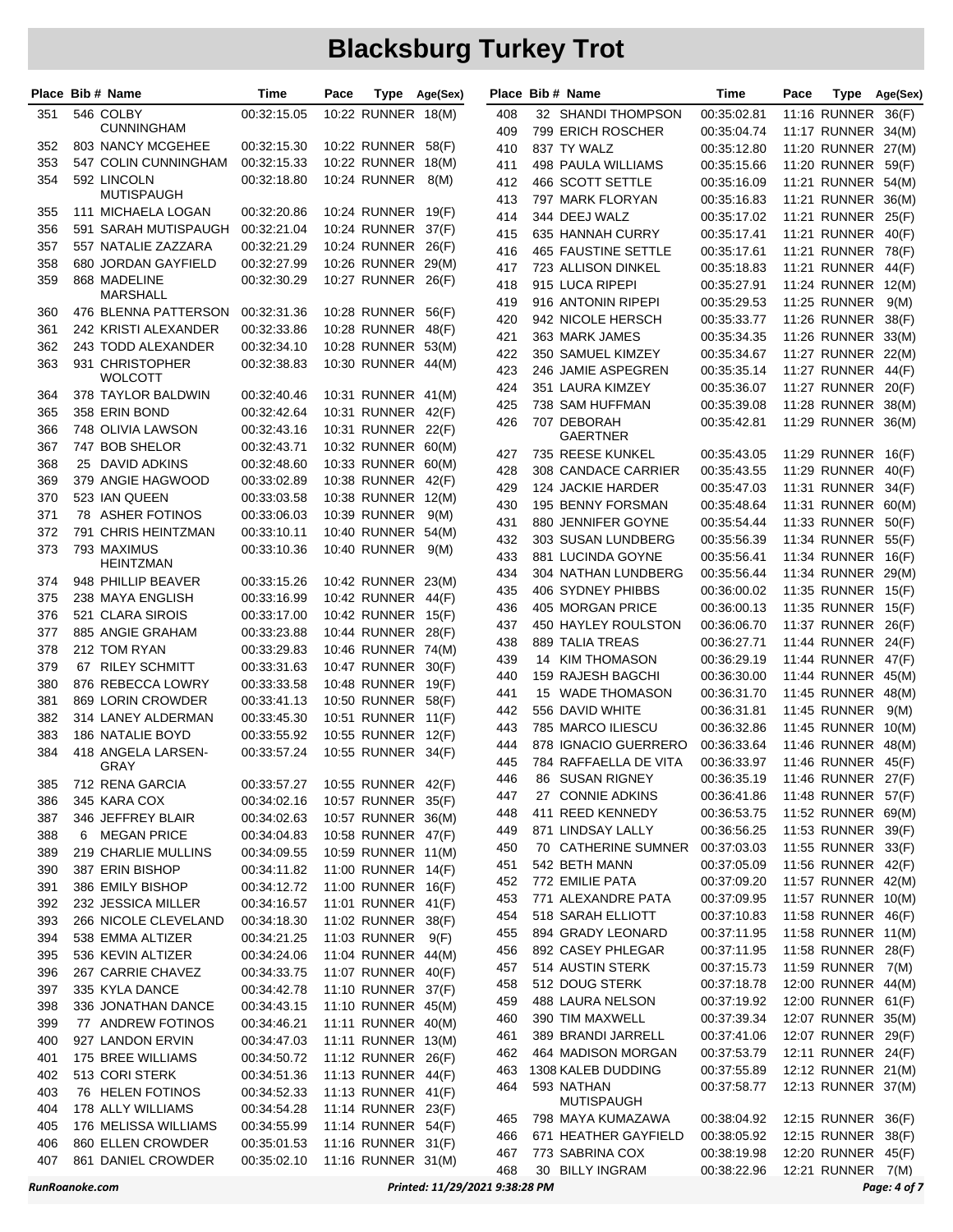|                | Place Bib # Name                           | Time                       | Pace |                                          | Type Age(Sex)                  |            | Place Bib # Name                    | Time                       | Pace | Type                                      | Age(Sex)     |
|----------------|--------------------------------------------|----------------------------|------|------------------------------------------|--------------------------------|------------|-------------------------------------|----------------------------|------|-------------------------------------------|--------------|
| 351            | 546 COLBY                                  | 00:32:15.05                |      | 10:22 RUNNER 18(M)                       |                                | 408        | 32 SHANDI THOMPSON                  | 00:35:02.81                |      | 11:16 RUNNER 36(F)                        |              |
|                | <b>CUNNINGHAM</b>                          |                            |      |                                          |                                | 409        | 799 ERICH ROSCHER                   | 00:35:04.74                |      | 11:17 RUNNER 34(M)                        |              |
| 352            | 803 NANCY MCGEHEE                          | 00:32:15.30                |      | 10:22 RUNNER 58(F)                       |                                | 410        | 837 TY WALZ                         | 00:35:12.80                |      | 11:20 RUNNER 27(M)                        |              |
| 353            | 547 COLIN CUNNINGHAM                       | 00:32:15.33                |      | 10:22 RUNNER 18(M)                       |                                | 411        | 498 PAULA WILLIAMS                  | 00:35:15.66                |      | 11:20 RUNNER 59(F)                        |              |
| 354            | 592 LINCOLN                                | 00:32:18.80                |      | 10:24 RUNNER                             | 8(M)                           | 412        | 466 SCOTT SETTLE                    | 00:35:16.09                |      | 11:21 RUNNER 54(M)                        |              |
|                | <b>MUTISPAUGH</b>                          |                            |      |                                          |                                | 413        | 797 MARK FLORYAN                    | 00:35:16.83                |      | 11:21 RUNNER 36(M)                        |              |
| 355<br>356     | 111 MICHAELA LOGAN<br>591 SARAH MUTISPAUGH | 00:32:20.86<br>00:32:21.04 |      | 10:24 RUNNER 19(F)<br>10:24 RUNNER 37(F) |                                | 414        | 344 DEEJ WALZ                       | 00:35:17.02                |      | 11:21 RUNNER 25(F)                        |              |
| 357            | 557 NATALIE ZAZZARA                        | 00:32:21.29                |      | 10:24 RUNNER                             | 26(F)                          | 415        | 635 HANNAH CURRY                    | 00:35:17.41                |      | <b>11:21 RUNNER</b>                       | 40(F)        |
| 358            | 680 JORDAN GAYFIELD                        | 00:32:27.99                |      | 10:26 RUNNER 29(M)                       |                                | 416        | 465 FAUSTINE SETTLE                 | 00:35:17.61                |      | 11:21 RUNNER 78(F)                        |              |
| 359            | 868 MADELINE                               | 00:32:30.29                |      | 10:27 RUNNER 26(F)                       |                                | 417        | 723 ALLISON DINKEL                  | 00:35:18.83                |      | 11:21 RUNNER 44(F)                        |              |
|                | MARSHALL                                   |                            |      |                                          |                                | 418        | 915 LUCA RIPEPI                     | 00:35:27.91                |      | 11:24 RUNNER 12(M)                        |              |
| 360            | 476 BLENNA PATTERSON                       | 00:32:31.36                |      | 10:28 RUNNER 56(F)                       |                                | 419        | 916 ANTONIN RIPEPI                  | 00:35:29.53                |      | <b>11:25 RUNNER</b>                       | 9(M)         |
| 361            | 242 KRISTI ALEXANDER                       | 00:32:33.86                |      | 10:28 RUNNER 48(F)                       |                                | 420<br>421 | 942 NICOLE HERSCH<br>363 MARK JAMES | 00:35:33.77                |      | 11:26 RUNNER 38(F)<br>11:26 RUNNER 33(M)  |              |
| 362            | 243 TODD ALEXANDER                         | 00:32:34.10                |      | 10:28 RUNNER 53(M)                       |                                | 422        | 350 SAMUEL KIMZEY                   | 00:35:34.35<br>00:35:34.67 |      | 11:27 RUNNER 22(M)                        |              |
| 363            | 931 CHRISTOPHER                            | 00:32:38.83                |      | 10:30 RUNNER 44(M)                       |                                | 423        | 246 JAMIE ASPEGREN                  | 00:35:35.14                |      | 11:27 RUNNER 44(F)                        |              |
|                | <b>WOLCOTT</b>                             |                            |      |                                          |                                | 424        | 351 LAURA KIMZEY                    | 00:35:36.07                |      | 11:27 RUNNER 20(F)                        |              |
| 364            | 378 TAYLOR BALDWIN                         | 00:32:40.46                |      | 10:31 RUNNER 41(M)                       |                                | 425        | 738 SAM HUFFMAN                     | 00:35:39.08                |      | 11:28 RUNNER 38(M)                        |              |
| 365            | 358 ERIN BOND                              | 00:32:42.64                |      | 10:31 RUNNER 42(F)                       |                                | 426        | 707 DEBORAH                         | 00:35:42.81                |      | 11:29 RUNNER 36(M)                        |              |
| 366            | 748 OLIVIA LAWSON                          | 00:32:43.16                |      | 10:31 RUNNER 22(F)                       |                                |            | GAERTNER                            |                            |      |                                           |              |
| 367            | 747 BOB SHELOR                             | 00:32:43.71                |      | 10:32 RUNNER 60(M)                       |                                | 427        | 735 REESE KUNKEL                    | 00:35:43.05                |      | 11:29 RUNNER 16(F)                        |              |
| 368            | 25 DAVID ADKINS                            | 00:32:48.60                |      | 10:33 RUNNER 60(M)                       |                                | 428        | 308 CANDACE CARRIER                 | 00:35:43.55                |      | 11:29 RUNNER 40(F)                        |              |
| 369            | 379 ANGIE HAGWOOD                          | 00:33:02.89                |      | 10:38 RUNNER 42(F)                       |                                | 429        | 124 JACKIE HARDER                   | 00:35:47.03                |      | 11:31 RUNNER 34(F)                        |              |
| 370            | 523 IAN QUEEN                              | 00:33:03.58                |      | 10:38 RUNNER 12(M)                       |                                | 430        | 195 BENNY FORSMAN                   | 00:35:48.64                |      | 11:31 RUNNER 60(M)                        |              |
| 371            | 78 ASHER FOTINOS                           | 00:33:06.03                |      | 10:39 RUNNER                             | 9(M)                           | 431        | 880 JENNIFER GOYNE                  | 00:35:54.44                |      | 11:33 RUNNER 50(F)                        |              |
| 372<br>373     | 791 CHRIS HEINTZMAN<br>793 MAXIMUS         | 00:33:10.11<br>00:33:10.36 |      | 10:40 RUNNER 54(M)<br>10:40 RUNNER       |                                | 432        | 303 SUSAN LUNDBERG                  | 00:35:56.39                |      | 11:34 RUNNER 55(F)                        |              |
|                | <b>HEINTZMAN</b>                           |                            |      |                                          | 9(M)                           | 433        | 881 LUCINDA GOYNE                   | 00:35:56.41                |      | 11:34 RUNNER 16(F)                        |              |
| 374            | 948 PHILLIP BEAVER                         | 00:33:15.26                |      | 10:42 RUNNER 23(M)                       |                                | 434        | 304 NATHAN LUNDBERG                 | 00:35:56.44                |      | 11:34 RUNNER 29(M)                        |              |
| 375            | 238 MAYA ENGLISH                           | 00:33:16.99                |      | 10:42 RUNNER 44(F)                       |                                | 435        | 406 SYDNEY PHIBBS                   | 00:36:00.02                |      | 11:35 RUNNER 15(F)                        |              |
| 376            | 521 CLARA SIROIS                           | 00:33:17.00                |      | 10:42 RUNNER 15(F)                       |                                | 436        | 405 MORGAN PRICE                    | 00:36:00.13                |      | 11:35 RUNNER 15(F)                        |              |
| 377            | 885 ANGIE GRAHAM                           | 00:33:23.88                |      | 10:44 RUNNER 28(F)                       |                                | 437        | 450 HAYLEY ROULSTON                 | 00:36:06.70                |      | 11:37 RUNNER 26(F)                        |              |
| 378            | 212 TOM RYAN                               | 00:33:29.83                |      | 10:46 RUNNER 74(M)                       |                                | 438        | <b>889 TALIA TREAS</b>              | 00:36:27.71                |      | 11:44 RUNNER 24(F)                        |              |
| 379            | 67 RILEY SCHMITT                           | 00:33:31.63                |      | 10:47 RUNNER 30(F)                       |                                | 439        | 14 KIM THOMASON                     | 00:36:29.19                |      | 11:44 RUNNER 47(F)                        |              |
| 380            | 876 REBECCA LOWRY                          | 00:33:33.58                |      | 10:48 RUNNER 19(F)                       |                                | 440        | 159 RAJESH BAGCHI                   | 00:36:30.00                |      | 11:44 RUNNER 45(M)                        |              |
| 381            | 869 LORIN CROWDER                          | 00:33:41.13                |      | 10:50 RUNNER 58(F)                       |                                | 441        | 15 WADE THOMASON<br>556 DAVID WHITE | 00:36:31.70                |      | 11:45 RUNNER 48(M)<br><b>11:45 RUNNER</b> |              |
| 382            | 314 LANEY ALDERMAN                         | 00:33:45.30                |      | 10:51 RUNNER 11(F)                       |                                | 442<br>443 | 785 MARCO ILIESCU                   | 00:36:31.81<br>00:36:32.86 |      | 11:45 RUNNER 10(M)                        | 9(M)         |
| 383            | 186 NATALIE BOYD                           | 00:33:55.92                |      | 10:55 RUNNER 12(F)                       |                                | 444        | 878 IGNACIO GUERRERO                | 00:36:33.64                |      | 11:46 RUNNER 48(M)                        |              |
| 384            | 418 ANGELA LARSEN-                         | 00:33:57.24                |      | 10:55 RUNNER 34(F)                       |                                | 445        | 784 RAFFAELLA DE VITA               | 00:36:33.97                |      | 11:46 RUNNER 45(F)                        |              |
|                | GRAY                                       |                            |      |                                          |                                | 446        | SUSAN RIGNEY<br>86                  | 00:36:35.19                |      | 11:46 RUNNER 27(F)                        |              |
| 385            | 712 RENA GARCIA                            | 00:33:57.27                |      | 10:55 RUNNER 42(F)                       |                                | 447        | 27 CONNIE ADKINS                    | 00:36:41.86                |      | 11:48 RUNNER 57(F)                        |              |
| 386            | 345 KARA COX                               | 00:34:02.16                |      | 10:57 RUNNER 35(F)<br>10:57 RUNNER 36(M) |                                | 448        | 411 REED KENNEDY                    | 00:36:53.75                |      | 11:52 RUNNER 69(M)                        |              |
| 387<br>388     | 346 JEFFREY BLAIR<br>6 MEGAN PRICE         | 00:34:02.63<br>00:34:04.83 |      | 10:58 RUNNER 47(F)                       |                                | 449        | 871 LINDSAY LALLY                   | 00:36:56.25                |      | 11:53 RUNNER 39(F)                        |              |
| 389            | 219 CHARLIE MULLINS                        | 00:34:09.55                |      | 10:59 RUNNER 11(M)                       |                                | 450        | 70 CATHERINE SUMNER                 | 00:37:03.03                |      | 11:55 RUNNER 33(F)                        |              |
| 390            | 387 ERIN BISHOP                            | 00:34:11.82                |      | 11:00 RUNNER 14(F)                       |                                | 451        | 542 BETH MANN                       | 00:37:05.09                |      | 11:56 RUNNER 42(F)                        |              |
| 391            | 386 EMILY BISHOP                           | 00:34:12.72                |      | 11:00 RUNNER 16(F)                       |                                | 452        | 772 EMILIE PATA                     | 00:37:09.20                |      | 11:57 RUNNER 42(M)                        |              |
| 392            | 232 JESSICA MILLER                         | 00:34:16.57                |      | 11:01 RUNNER 41(F)                       |                                | 453        | 771 ALEXANDRE PATA                  | 00:37:09.95                |      | 11:57 RUNNER 10(M)                        |              |
| 393            | 266 NICOLE CLEVELAND                       | 00:34:18.30                |      | 11:02 RUNNER 38(F)                       |                                | 454        | 518 SARAH ELLIOTT                   | 00:37:10.83                |      | 11:58 RUNNER 46(F)                        |              |
| 394            | 538 EMMA ALTIZER                           | 00:34:21.25                |      | 11:03 RUNNER 9(F)                        |                                | 455        | 894 GRADY LEONARD                   | 00:37:11.95                |      | 11:58 RUNNER 11(M)                        |              |
| 395            | 536 KEVIN ALTIZER                          | 00:34:24.06                |      | 11:04 RUNNER 44(M)                       |                                | 456        | 892 CASEY PHLEGAR                   | 00:37:11.95                |      | 11:58 RUNNER 28(F)                        |              |
| 396            | 267 CARRIE CHAVEZ                          | 00:34:33.75                |      | 11:07 RUNNER 40(F)                       |                                | 457        | 514 AUSTIN STERK                    | 00:37:15.73                |      | 11:59 RUNNER 7(M)                         |              |
| 397            | 335 KYLA DANCE                             | 00:34:42.78                |      | 11:10 RUNNER 37(F)                       |                                | 458        | 512 DOUG STERK                      | 00:37:18.78                |      | 12:00 RUNNER 44(M)                        |              |
| 398            | 336 JONATHAN DANCE                         | 00:34:43.15                |      | 11:10 RUNNER 45(M)                       |                                | 459        | 488 LAURA NELSON                    | 00:37:19.92                |      | 12:00 RUNNER 61(F)                        |              |
| 399            | 77 ANDREW FOTINOS                          | 00:34:46.21                |      | 11:11 RUNNER 40(M)                       |                                | 460        | 390 TIM MAXWELL                     | 00:37:39.34                |      | 12:07 RUNNER 35(M)                        |              |
| 400            | 927 LANDON ERVIN                           | 00:34:47.03                |      | 11:11 RUNNER 13(M)                       |                                | 461        | 389 BRANDI JARRELL                  | 00:37:41.06                |      | 12:07 RUNNER 29(F)                        |              |
| 401            | 175 BREE WILLIAMS                          | 00:34:50.72                |      | 11:12 RUNNER 26(F)                       |                                | 462        | 464 MADISON MORGAN                  | 00:37:53.79                |      | 12:11 RUNNER 24(F)                        |              |
| 402            | 513 CORI STERK                             | 00:34:51.36                |      | 11:13 RUNNER 44(F)                       |                                | 463        | 1308 KALEB DUDDING                  | 00:37:55.89                |      | 12:12 RUNNER 21(M)                        |              |
| 403            | 76 HELEN FOTINOS                           | 00:34:52.33                |      | 11:13 RUNNER 41(F)                       |                                | 464        | 593 NATHAN<br><b>MUTISPAUGH</b>     | 00:37:58.77                |      | 12:13 RUNNER 37(M)                        |              |
| 404            | 178 ALLY WILLIAMS                          | 00:34:54.28                |      | 11:14 RUNNER 23(F)                       |                                | 465        | 798 MAYA KUMAZAWA                   | 00:38:04.92                |      | 12:15 RUNNER 36(F)                        |              |
| 405            | 176 MELISSA WILLIAMS                       | 00:34:55.99                |      | 11:14 RUNNER 54(F)                       |                                | 466        | 671 HEATHER GAYFIELD                | 00:38:05.92                |      | 12:15 RUNNER 38(F)                        |              |
| 406            | 860 ELLEN CROWDER                          | 00:35:01.53                |      | 11:16 RUNNER 31(F)                       |                                | 467        | 773 SABRINA COX                     | 00:38:19.98                |      | 12:20 RUNNER 45(F)                        |              |
| 407            | 861 DANIEL CROWDER                         | 00:35:02.10                |      | 11:16 RUNNER 31(M)                       |                                | 468        | 30 BILLY INGRAM                     | 00:38:22.96                |      | 12:21 RUNNER 7(M)                         |              |
| RunRoanoke.com |                                            |                            |      |                                          | Printed: 11/29/2021 9:38:28 PM |            |                                     |                            |      |                                           | Page: 4 of 7 |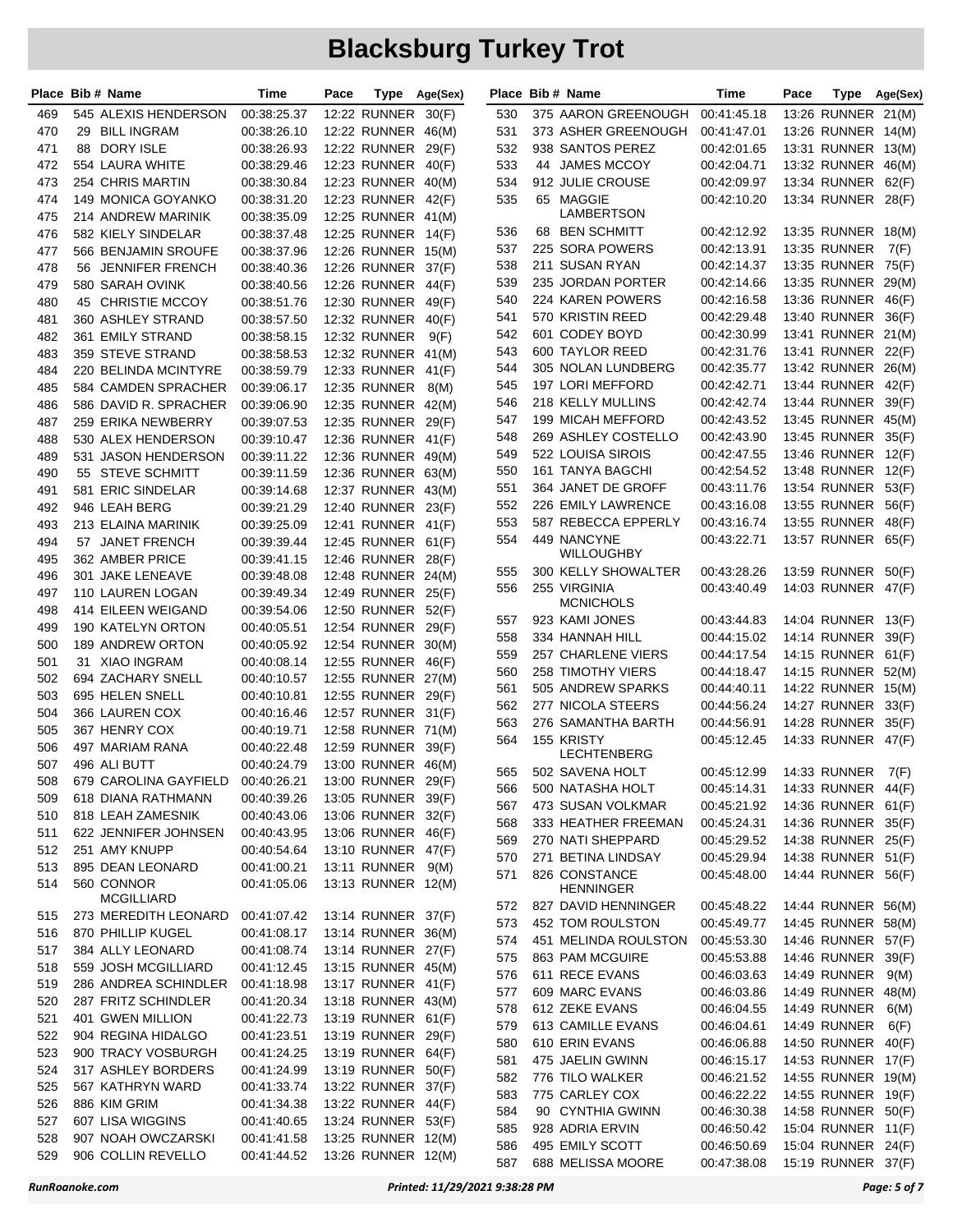|     | Place Bib # Name      | Time        | Pace | Type                | Age(Sex) |     | Place Bib # Name          | Time                       | Pace | Type                | Age(Sex) |
|-----|-----------------------|-------------|------|---------------------|----------|-----|---------------------------|----------------------------|------|---------------------|----------|
| 469 | 545 ALEXIS HENDERSON  | 00:38:25.37 |      | 12:22 RUNNER        | 30(F)    | 530 | 375 AARON GREENOUGH       | 00:41:45.18                |      | 13:26 RUNNER        | 21(M)    |
| 470 | 29 BILL INGRAM        | 00:38:26.10 |      | 12:22 RUNNER 46(M)  |          | 531 | 373 ASHER GREENOUGH       | 00:41:47.01                |      | 13:26 RUNNER 14(M)  |          |
| 471 | 88 DORY ISLE          | 00:38:26.93 |      | 12:22 RUNNER 29(F)  |          | 532 | 938 SANTOS PEREZ          | 00:42:01.65                |      | 13:31 RUNNER 13(M)  |          |
| 472 | 554 LAURA WHITE       | 00:38:29.46 |      | 12:23 RUNNER 40(F)  |          | 533 | 44 JAMES MCCOY            | 00:42:04.71                |      | 13:32 RUNNER 46(M)  |          |
| 473 | 254 CHRIS MARTIN      | 00:38:30.84 |      | 12:23 RUNNER 40(M)  |          | 534 | 912 JULIE CROUSE          | 00:42:09.97                |      | 13:34 RUNNER        | 62(F)    |
| 474 | 149 MONICA GOYANKO    | 00:38:31.20 |      | 12:23 RUNNER 42(F)  |          | 535 | 65 MAGGIE                 | 00:42:10.20                |      | 13:34 RUNNER 28(F)  |          |
| 475 | 214 ANDREW MARINIK    | 00:38:35.09 |      | 12:25 RUNNER 41(M)  |          |     | LAMBERTSON                |                            |      |                     |          |
| 476 | 582 KIELY SINDELAR    | 00:38:37.48 |      | <b>12:25 RUNNER</b> | 14(F)    | 536 | 68 BEN SCHMITT            | 00:42:12.92                |      | 13:35 RUNNER 18(M)  |          |
| 477 | 566 BENJAMIN SROUFE   | 00:38:37.96 |      | 12:26 RUNNER 15(M)  |          | 537 | 225 SORA POWERS           | 00:42:13.91                |      | 13:35 RUNNER        | 7(F)     |
| 478 | 56 JENNIFER FRENCH    | 00:38:40.36 |      | 12:26 RUNNER        | 37(F)    | 538 | 211 SUSAN RYAN            | 00:42:14.37                |      | 13:35 RUNNER        | 75(F)    |
| 479 | 580 SARAH OVINK       | 00:38:40.56 |      | 12:26 RUNNER        | 44(F)    | 539 | 235 JORDAN PORTER         | 00:42:14.66                |      | 13:35 RUNNER        | 29(M)    |
| 480 | 45 CHRISTIE MCCOY     | 00:38:51.76 |      | 12:30 RUNNER        | 49(F)    | 540 | 224 KAREN POWERS          | 00:42:16.58                |      | 13:36 RUNNER        | 46(F)    |
| 481 | 360 ASHLEY STRAND     | 00:38:57.50 |      | 12:32 RUNNER        | 40(F)    | 541 | 570 KRISTIN REED          | 00:42:29.48                |      | 13:40 RUNNER        | 36(F)    |
| 482 | 361 EMILY STRAND      | 00:38:58.15 |      | 12:32 RUNNER        | 9(F)     | 542 | 601 CODEY BOYD            | 00:42:30.99                |      | 13:41 RUNNER 21(M)  |          |
| 483 | 359 STEVE STRAND      | 00:38:58.53 |      | 12:32 RUNNER 41(M)  |          | 543 | 600 TAYLOR REED           | 00:42:31.76                |      | 13:41 RUNNER 22(F)  |          |
| 484 | 220 BELINDA MCINTYRE  | 00:38:59.79 |      | 12:33 RUNNER 41(F)  |          | 544 | 305 NOLAN LUNDBERG        | 00:42:35.77                |      | 13:42 RUNNER 26(M)  |          |
| 485 | 584 CAMDEN SPRACHER   | 00:39:06.17 |      | 12:35 RUNNER        | 8(M)     | 545 | 197 LORI MEFFORD          | 00:42:42.71                |      | 13:44 RUNNER        | 42(F)    |
| 486 | 586 DAVID R. SPRACHER | 00:39:06.90 |      | 12:35 RUNNER 42(M)  |          | 546 | 218 KELLY MULLINS         | 00:42:42.74                |      | 13:44 RUNNER        | 39(F)    |
| 487 | 259 ERIKA NEWBERRY    | 00:39:07.53 |      | <b>12:35 RUNNER</b> | 29(F)    | 547 | 199 MICAH MEFFORD         | 00:42:43.52                |      | 13:45 RUNNER 45(M)  |          |
| 488 | 530 ALEX HENDERSON    | 00:39:10.47 |      | 12:36 RUNNER        | 41(F)    | 548 | 269 ASHLEY COSTELLO       | 00:42:43.90                |      | 13:45 RUNNER 35(F)  |          |
| 489 | 531 JASON HENDERSON   | 00:39:11.22 |      | 12:36 RUNNER 49(M)  |          | 549 | 522 LOUISA SIROIS         | 00:42:47.55                |      | 13:46 RUNNER 12(F)  |          |
| 490 | 55 STEVE SCHMITT      | 00:39:11.59 |      | 12:36 RUNNER 63(M)  |          | 550 | 161 TANYA BAGCHI          | 00:42:54.52                |      | 13:48 RUNNER 12(F)  |          |
| 491 | 581 ERIC SINDELAR     | 00:39:14.68 |      | 12:37 RUNNER 43(M)  |          | 551 | 364 JANET DE GROFF        | 00:43:11.76                |      | 13:54 RUNNER        | 53(F)    |
| 492 | 946 LEAH BERG         | 00:39:21.29 |      | 12:40 RUNNER 23(F)  |          | 552 | 226 EMILY LAWRENCE        | 00:43:16.08                |      | 13:55 RUNNER        | 56(F)    |
| 493 | 213 ELAINA MARINIK    | 00:39:25.09 |      | 12:41 RUNNER        | 41(F)    | 553 | 587 REBECCA EPPERLY       | 00:43:16.74                |      | 13:55 RUNNER        | 48(F)    |
| 494 | 57 JANET FRENCH       | 00:39:39.44 |      | 12:45 RUNNER        | 61(F)    | 554 | 449 NANCYNE               | 00:43:22.71                |      | 13:57 RUNNER 65(F)  |          |
| 495 | 362 AMBER PRICE       | 00:39:41.15 |      | 12:46 RUNNER 28(F)  |          |     | WILLOUGHBY                |                            |      |                     |          |
| 496 | 301 JAKE LENEAVE      | 00:39:48.08 |      | 12:48 RUNNER 24(M)  |          | 555 | 300 KELLY SHOWALTER       | 00:43:28.26                |      | 13:59 RUNNER        | 50(F)    |
| 497 | 110 LAUREN LOGAN      | 00:39:49.34 |      | 12:49 RUNNER 25(F)  |          | 556 | 255 VIRGINIA              | 00:43:40.49                |      | 14:03 RUNNER 47(F)  |          |
| 498 | 414 EILEEN WEIGAND    | 00:39:54.06 |      | 12:50 RUNNER 52(F)  |          |     | <b>MCNICHOLS</b>          |                            |      |                     |          |
| 499 | 190 KATELYN ORTON     | 00:40:05.51 |      | 12:54 RUNNER        | 29(F)    | 557 | 923 KAMI JONES            | 00:43:44.83                |      | 14:04 RUNNER 13(F)  |          |
| 500 | 189 ANDREW ORTON      | 00:40:05.92 |      | 12:54 RUNNER 30(M)  |          | 558 | 334 HANNAH HILL           | 00:44:15.02                |      | <b>14:14 RUNNER</b> | 39(F)    |
| 501 | 31 XIAO INGRAM        | 00:40:08.14 |      | 12:55 RUNNER 46(F)  |          | 559 | 257 CHARLENE VIERS        | 00:44:17.54                |      | <b>14:15 RUNNER</b> | 61(F)    |
| 502 | 694 ZACHARY SNELL     | 00:40:10.57 |      | 12:55 RUNNER 27(M)  |          | 560 | <b>258 TIMOTHY VIERS</b>  | 00:44:18.47                |      | 14:15 RUNNER 52(M)  |          |
| 503 | 695 HELEN SNELL       | 00:40:10.81 |      | 12:55 RUNNER 29(F)  |          | 561 | 505 ANDREW SPARKS         | 00:44:40.11                |      | 14:22 RUNNER 15(M)  |          |
| 504 | 366 LAUREN COX        | 00:40:16.46 |      | 12:57 RUNNER 31(F)  |          | 562 | 277 NICOLA STEERS         | 00:44:56.24                |      | 14:27 RUNNER 33(F)  |          |
| 505 | 367 HENRY COX         | 00:40:19.71 |      | 12:58 RUNNER 71(M)  |          | 563 | 276 SAMANTHA BARTH        | 00:44:56.91                |      | 14:28 RUNNER        | 35(F)    |
| 506 | 497 MARIAM RANA       | 00:40:22.48 |      | 12:59 RUNNER        | 39(F)    | 564 | 155 KRISTY<br>LECHTENBERG | 00:45:12.45                |      | 14:33 RUNNER 47(F)  |          |
| 507 | 496 ALI BUTT          | 00:40:24.79 |      | 13:00 RUNNER 46(M)  |          | 565 | 502 SAVENA HOLT           |                            |      | 14:33 RUNNER 7(F)   |          |
| 508 | 679 CAROLINA GAYFIELD | 00:40:26.21 |      | 13:00 RUNNER 29(F)  |          | 566 | 500 NATASHA HOLT          | 00:45:12.99<br>00:45:14.31 |      | 14:33 RUNNER 44(F)  |          |
| 509 | 618 DIANA RATHMANN    | 00:40:39.26 |      | 13:05 RUNNER 39(F)  |          | 567 | 473 SUSAN VOLKMAR         | 00:45:21.92                |      | 14:36 RUNNER 61(F)  |          |
| 510 | 818 LEAH ZAMESNIK     | 00:40:43.06 |      | 13:06 RUNNER 32(F)  |          | 568 | 333 HEATHER FREEMAN       | 00:45:24.31                |      | 14:36 RUNNER 35(F)  |          |
| 511 | 622 JENNIFER JOHNSEN  | 00:40:43.95 |      | 13:06 RUNNER 46(F)  |          | 569 | 270 NATI SHEPPARD         | 00:45:29.52                |      | 14:38 RUNNER 25(F)  |          |
| 512 | 251 AMY KNUPP         | 00:40:54.64 |      | 13:10 RUNNER 47(F)  |          | 570 | 271 BETINA LINDSAY        | 00:45:29.94                |      | 14:38 RUNNER 51(F)  |          |
| 513 | 895 DEAN LEONARD      | 00:41:00.21 |      | 13:11 RUNNER 9(M)   |          | 571 | 826 CONSTANCE             | 00:45:48.00                |      | 14:44 RUNNER 56(F)  |          |
| 514 | 560 CONNOR            | 00:41:05.06 |      | 13:13 RUNNER 12(M)  |          |     | <b>HENNINGER</b>          |                            |      |                     |          |
|     | <b>MCGILLIARD</b>     |             |      |                     |          | 572 | 827 DAVID HENNINGER       | 00:45:48.22                |      | 14:44 RUNNER 56(M)  |          |
| 515 | 273 MEREDITH LEONARD  | 00:41:07.42 |      | 13:14 RUNNER 37(F)  |          | 573 | 452 TOM ROULSTON          | 00:45:49.77                |      | 14:45 RUNNER 58(M)  |          |
| 516 | 870 PHILLIP KUGEL     | 00:41:08.17 |      | 13:14 RUNNER 36(M)  |          | 574 | 451 MELINDA ROULSTON      | 00:45:53.30                |      | 14:46 RUNNER 57(F)  |          |
| 517 | 384 ALLY LEONARD      | 00:41:08.74 |      | 13:14 RUNNER 27(F)  |          | 575 | 863 PAM MCGUIRE           | 00:45:53.88                |      | 14:46 RUNNER 39(F)  |          |
| 518 | 559 JOSH MCGILLIARD   | 00:41:12.45 |      | 13:15 RUNNER 45(M)  |          | 576 | 611 RECE EVANS            | 00:46:03.63                |      | 14:49 RUNNER        | 9(M)     |
| 519 | 286 ANDREA SCHINDLER  | 00:41:18.98 |      | 13:17 RUNNER 41(F)  |          | 577 | 609 MARC EVANS            | 00:46:03.86                |      | 14:49 RUNNER        | 48(M)    |
| 520 | 287 FRITZ SCHINDLER   | 00:41:20.34 |      | 13:18 RUNNER 43(M)  |          | 578 | 612 ZEKE EVANS            | 00:46:04.55                |      | 14:49 RUNNER        | 6(M)     |
| 521 | 401 GWEN MILLION      | 00:41:22.73 |      | 13:19 RUNNER 61(F)  |          | 579 | 613 CAMILLE EVANS         | 00:46:04.61                |      | 14:49 RUNNER        | 6(F)     |
| 522 | 904 REGINA HIDALGO    | 00:41:23.51 |      | 13:19 RUNNER 29(F)  |          | 580 | 610 ERIN EVANS            | 00:46:06.88                |      | 14:50 RUNNER        | 40(F)    |
| 523 | 900 TRACY VOSBURGH    | 00:41:24.25 |      | 13:19 RUNNER 64(F)  |          | 581 | 475 JAELIN GWINN          | 00:46:15.17                |      | 14:53 RUNNER 17(F)  |          |
| 524 | 317 ASHLEY BORDERS    | 00:41:24.99 |      | 13:19 RUNNER 50(F)  |          | 582 | 776 TILO WALKER           | 00:46:21.52                |      | 14:55 RUNNER 19(M)  |          |
| 525 | 567 KATHRYN WARD      | 00:41:33.74 |      | 13:22 RUNNER 37(F)  |          | 583 | 775 CARLEY COX            | 00:46:22.22                |      | 14:55 RUNNER 19(F)  |          |
| 526 | 886 KIM GRIM          | 00:41:34.38 |      | 13:22 RUNNER 44(F)  |          | 584 | 90 CYNTHIA GWINN          | 00:46:30.38                |      | 14:58 RUNNER 50(F)  |          |
| 527 | 607 LISA WIGGINS      | 00:41:40.65 |      | 13:24 RUNNER 53(F)  |          | 585 | 928 ADRIA ERVIN           | 00:46:50.42                |      | 15:04 RUNNER 11(F)  |          |
| 528 | 907 NOAH OWCZARSKI    | 00:41:41.58 |      | 13:25 RUNNER 12(M)  |          | 586 | 495 EMILY SCOTT           | 00:46:50.69                |      | 15:04 RUNNER 24(F)  |          |
| 529 | 906 COLLIN REVELLO    | 00:41:44.52 |      | 13:26 RUNNER 12(M)  |          | 587 | 688 MELISSA MOORE         | 00:47:38.08                |      | 15:19 RUNNER 37(F)  |          |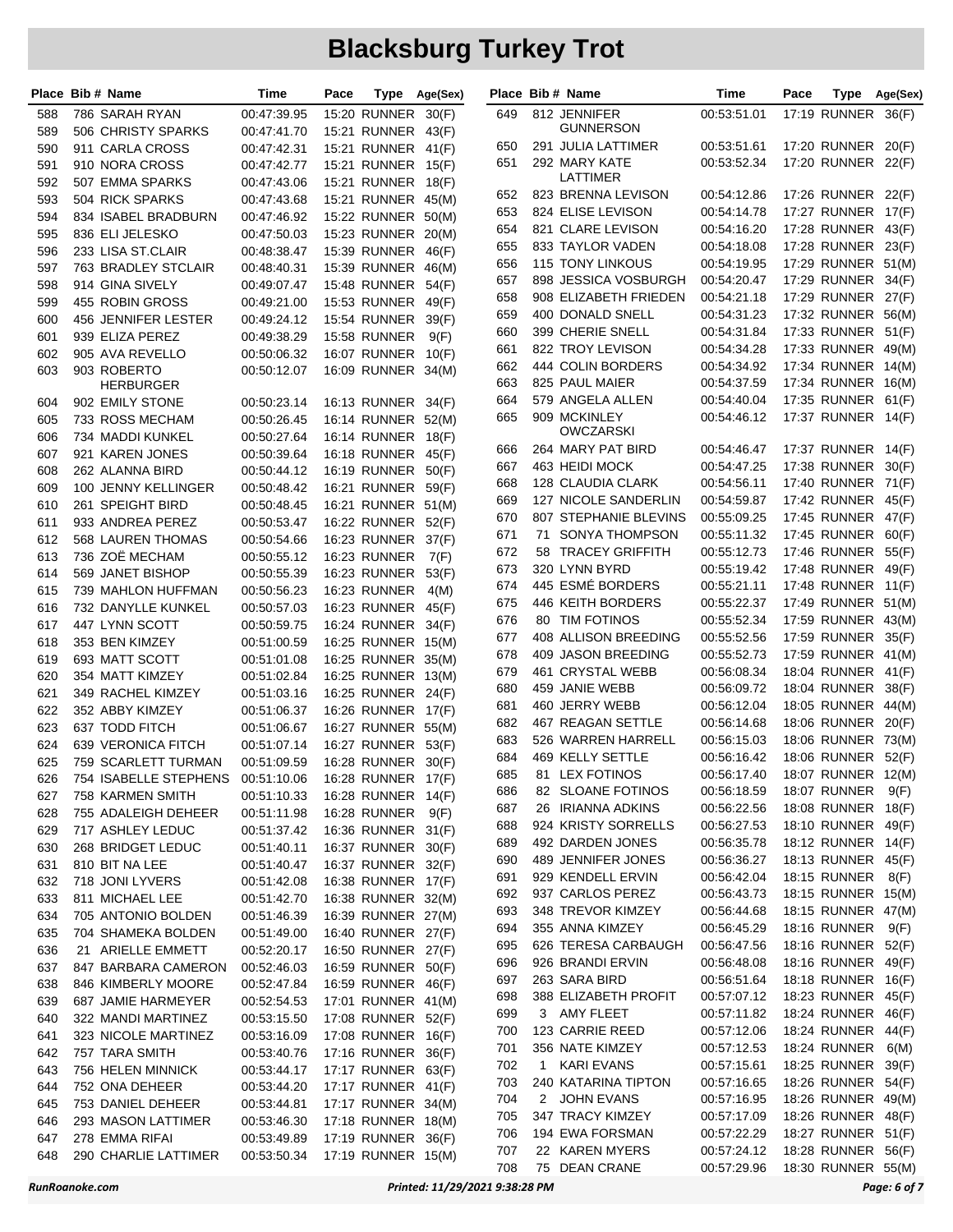|            | Place Bib # Name                    | Time                       | Pace |                                          | Type Age(Sex) |            | Place Bib # Name                        | Time                       | Pace |                                          | Type Age(Sex) |
|------------|-------------------------------------|----------------------------|------|------------------------------------------|---------------|------------|-----------------------------------------|----------------------------|------|------------------------------------------|---------------|
| 588        | 786 SARAH RYAN                      | 00:47:39.95                |      | 15:20 RUNNER                             | 30(F)         | 649        | 812 JENNIFER                            | 00:53:51.01                |      | 17:19 RUNNER 36(F)                       |               |
| 589        | 506 CHRISTY SPARKS                  | 00:47:41.70                |      | 15:21 RUNNER 43(F)                       |               |            | GUNNERSON                               |                            |      |                                          |               |
| 590        | 911 CARLA CROSS                     | 00:47:42.31                |      | 15:21 RUNNER 41(F)                       |               | 650        | 291 JULIA LATTIMER                      | 00:53:51.61                |      | 17:20 RUNNER 20(F)                       |               |
| 591        | 910 NORA CROSS                      | 00:47:42.77                |      | 15:21 RUNNER 15(F)                       |               | 651        | 292 MARY KATE                           | 00:53:52.34                |      | 17:20 RUNNER 22(F)                       |               |
| 592        | 507 EMMA SPARKS                     | 00:47:43.06                |      | 15:21 RUNNER 18(F)                       |               |            | LATTIMER                                |                            |      |                                          |               |
| 593        | 504 RICK SPARKS                     | 00:47:43.68                |      | 15:21 RUNNER 45(M)                       |               | 652        | 823 BRENNA LEVISON                      | 00:54:12.86                |      | 17:26 RUNNER 22(F)                       |               |
| 594        | 834 ISABEL BRADBURN                 | 00:47:46.92                |      | 15:22 RUNNER 50(M)                       |               | 653        | 824 ELISE LEVISON                       | 00:54:14.78                |      | 17:27 RUNNER 17(F)                       |               |
| 595        | 836 ELI JELESKO                     | 00:47:50.03                |      | 15:23 RUNNER                             | 20(M)         | 654        | 821 CLARE LEVISON                       | 00:54:16.20                |      | 17:28 RUNNER 43(F)                       |               |
| 596        | 233 LISA ST.CLAIR                   | 00:48:38.47                |      | 15:39 RUNNER                             | 46(F)         | 655        | 833 TAYLOR VADEN                        | 00:54:18.08                |      | 17:28 RUNNER 23(F)                       |               |
| 597        | 763 BRADLEY STCLAIR                 | 00:48:40.31                |      | 15:39 RUNNER 46(M)                       |               | 656        | <b>115 TONY LINKOUS</b>                 | 00:54:19.95                |      | 17:29 RUNNER 51(M)                       |               |
| 598        | 914 GINA SIVELY                     | 00:49:07.47                |      | 15:48 RUNNER                             | 54(F)         | 657        | 898 JESSICA VOSBURGH                    | 00:54:20.47                |      | 17:29 RUNNER 34(F)                       |               |
| 599        | 455 ROBIN GROSS                     | 00:49:21.00                |      | 15:53 RUNNER 49(F)                       |               | 658        | 908 ELIZABETH FRIEDEN                   | 00:54:21.18                |      | 17:29 RUNNER 27(F)                       |               |
| 600        | 456 JENNIFER LESTER                 | 00:49:24.12                |      | <b>15:54 RUNNER</b>                      | 39(F)         | 659        | 400 DONALD SNELL                        | 00:54:31.23                |      | 17:32 RUNNER 56(M)                       |               |
| 601        | 939 ELIZA PEREZ                     | 00:49:38.29                |      | <b>15:58 RUNNER</b>                      | 9(F)          | 660        | 399 CHERIE SNELL                        | 00:54:31.84                |      | 17:33 RUNNER 51(F)                       |               |
| 602        | 905 AVA REVELLO                     | 00:50:06.32                |      | 16:07 RUNNER 10(F)                       |               | 661<br>662 | 822 TROY LEVISON<br>444 COLIN BORDERS   | 00:54:34.28<br>00:54:34.92 |      | 17:33 RUNNER 49(M)<br>17:34 RUNNER 14(M) |               |
| 603        | 903 ROBERTO                         | 00:50:12.07                |      | 16:09 RUNNER 34(M)                       |               | 663        | 825 PAUL MAIER                          | 00:54:37.59                |      | 17:34 RUNNER 16(M)                       |               |
|            | HERBURGER                           |                            |      |                                          |               | 664        | 579 ANGELA ALLEN                        | 00:54:40.04                |      | 17:35 RUNNER 61(F)                       |               |
| 604<br>605 | 902 EMILY STONE<br>733 ROSS MECHAM  | 00:50:23.14<br>00:50:26.45 |      | 16:13 RUNNER 34(F)<br>16:14 RUNNER 52(M) |               | 665        | 909 MCKINLEY                            | 00:54:46.12                |      | 17:37 RUNNER 14(F)                       |               |
|            | 734 MADDI KUNKEL                    |                            |      | 16:14 RUNNER 18(F)                       |               |            | OWCZARSKI                               |                            |      |                                          |               |
| 606<br>607 | 921 KAREN JONES                     | 00:50:27.64<br>00:50:39.64 |      | 16:18 RUNNER                             | 45(F)         | 666        | 264 MARY PAT BIRD                       | 00:54:46.47                |      | 17:37 RUNNER 14(F)                       |               |
| 608        | 262 ALANNA BIRD                     | 00:50:44.12                |      | 16:19 RUNNER                             | 50(F)         | 667        | 463 HEIDI MOCK                          | 00:54:47.25                |      | 17:38 RUNNER                             | 30(F)         |
| 609        | 100 JENNY KELLINGER                 | 00:50:48.42                |      | 16:21 RUNNER 59(F)                       |               | 668        | 128 CLAUDIA CLARK                       | 00:54:56.11                |      | 17:40 RUNNER 71(F)                       |               |
| 610        | 261 SPEIGHT BIRD                    | 00:50:48.45                |      | 16:21 RUNNER 51(M)                       |               | 669        | 127 NICOLE SANDERLIN                    | 00:54:59.87                |      | 17:42 RUNNER 45(F)                       |               |
| 611        | 933 ANDREA PEREZ                    | 00:50:53.47                |      | 16:22 RUNNER 52(F)                       |               | 670        | <b>807 STEPHANIE BLEVINS</b>            | 00:55:09.25                |      | 17:45 RUNNER 47(F)                       |               |
| 612        | <b>568 LAUREN THOMAS</b>            | 00:50:54.66                |      | 16:23 RUNNER 37(F)                       |               | 671        | 71 SONYA THOMPSON                       | 00:55:11.32                |      | 17:45 RUNNER 60(F)                       |               |
| 613        | 736 ZOË MECHAM                      | 00:50:55.12                |      | 16:23 RUNNER                             | 7(F)          | 672        | 58 TRACEY GRIFFITH                      | 00:55:12.73                |      | 17:46 RUNNER 55(F)                       |               |
| 614        | 569 JANET BISHOP                    | 00:50:55.39                |      | 16:23 RUNNER                             | 53(F)         | 673        | 320 LYNN BYRD                           | 00:55:19.42                |      | 17:48 RUNNER                             | 49(F)         |
| 615        | 739 MAHLON HUFFMAN                  | 00:50:56.23                |      | <b>16:23 RUNNER</b>                      | 4(M)          | 674        | 445 ESMÉ BORDERS                        | 00:55:21.11                |      | 17:48 RUNNER 11(F)                       |               |
| 616        | 732 DANYLLE KUNKEL                  | 00:50:57.03                |      | 16:23 RUNNER                             | 45(F)         | 675        | 446 KEITH BORDERS                       | 00:55:22.37                |      | 17:49 RUNNER 51(M)                       |               |
| 617        | 447 LYNN SCOTT                      | 00:50:59.75                |      | 16:24 RUNNER 34(F)                       |               | 676        | 80 TIM FOTINOS                          | 00:55:52.34                |      | 17:59 RUNNER 43(M)                       |               |
| 618        | 353 BEN KIMZEY                      | 00:51:00.59                |      | 16:25 RUNNER 15(M)                       |               | 677        | 408 ALLISON BREEDING                    | 00:55:52.56                |      | 17:59 RUNNER 35(F)                       |               |
| 619        | 693 MATT SCOTT                      | 00:51:01.08                |      | 16:25 RUNNER 35(M)                       |               | 678        | 409 JASON BREEDING                      | 00:55:52.73                |      | 17:59 RUNNER 41(M)                       |               |
| 620        | 354 MATT KIMZEY                     | 00:51:02.84                |      | 16:25 RUNNER 13(M)                       |               | 679        | 461 CRYSTAL WEBB                        | 00:56:08.34                |      | 18:04 RUNNER 41(F)                       |               |
| 621        | 349 RACHEL KIMZEY                   | 00:51:03.16                |      | 16:25 RUNNER 24(F)                       |               | 680        | 459 JANIE WEBB                          | 00:56:09.72                |      | 18:04 RUNNER 38(F)                       |               |
| 622        | 352 ABBY KIMZEY                     | 00:51:06.37                |      | 16:26 RUNNER 17(F)                       |               | 681        | 460 JERRY WEBB                          | 00:56:12.04                |      | 18:05 RUNNER 44(M)                       |               |
| 623        | 637 TODD FITCH                      | 00:51:06.67                |      | 16:27 RUNNER 55(M)                       |               | 682        | 467 REAGAN SETTLE                       | 00:56:14.68                |      | 18:06 RUNNER 20(F)                       |               |
| 624        | 639 VERONICA FITCH                  | 00:51:07.14                |      | 16:27 RUNNER 53(F)                       |               | 683        | 526 WARREN HARRELL                      | 00:56:15.03                |      | 18:06 RUNNER 73(M)                       |               |
| 625        | 759 SCARLETT TURMAN                 | 00:51:09.59                |      | 16:28 RUNNER 30(F)                       |               | 684        | 469 KELLY SETTLE                        | 00:56:16.42                |      | 18:06 RUNNER 52(F)                       |               |
| 626        | 754 ISABELLE STEPHENS               | 00:51:10.06                |      | 16:28 RUNNER 17(F)                       |               | 685        | 81 LEX FOTINOS                          | 00:56:17.40                |      | 18:07 RUNNER 12(M)                       |               |
| 627        | 758 KARMEN SMITH                    | 00:51:10.33                |      | 16:28 RUNNER 14(F)                       |               | 686        | 82 SLOANE FOTINOS                       | 00:56:18.59                |      | 18:07 RUNNER 9(F)                        |               |
| 628        | 755 ADALEIGH DEHEER                 | 00:51:11.98                |      | 16:28 RUNNER                             | 9(F)          | 687        | 26 IRIANNA ADKINS                       | 00:56:22.56                |      | 18:08 RUNNER 18(F)                       |               |
| 629        | 717 ASHLEY LEDUC                    | 00:51:37.42                |      | 16:36 RUNNER 31(F)                       |               | 688        | 924 KRISTY SORRELLS                     | 00:56:27.53                |      | 18:10 RUNNER 49(F)                       |               |
| 630        | 268 BRIDGET LEDUC                   | 00:51:40.11                |      | 16:37 RUNNER 30(F)                       |               | 689        | 492 DARDEN JONES                        | 00:56:35.78                |      | 18:12 RUNNER 14(F)                       |               |
| 631        | 810 BIT NA LEE                      | 00:51:40.47                |      | 16:37 RUNNER 32(F)                       |               | 690<br>691 | 489 JENNIFER JONES<br>929 KENDELL ERVIN | 00:56:36.27<br>00:56:42.04 |      | 18:13 RUNNER 45(F)<br>18:15 RUNNER       |               |
| 632        | 718 JONI LYVERS                     | 00:51:42.08                |      | 16:38 RUNNER 17(F)                       |               | 692        | 937 CARLOS PEREZ                        | 00:56:43.73                |      | 18:15 RUNNER 15(M)                       | 8(F)          |
| 633        | 811 MICHAEL LEE                     | 00:51:42.70                |      | 16:38 RUNNER 32(M)                       |               | 693        | 348 TREVOR KIMZEY                       | 00:56:44.68                |      | 18:15 RUNNER 47(M)                       |               |
| 634        | 705 ANTONIO BOLDEN                  | 00:51:46.39                |      | 16:39 RUNNER 27(M)                       |               | 694        | 355 ANNA KIMZEY                         | 00:56:45.29                |      | 18:16 RUNNER                             | 9(F)          |
| 635        | 704 SHAMEKA BOLDEN                  | 00:51:49.00                |      | 16:40 RUNNER 27(F)                       |               | 695        | 626 TERESA CARBAUGH                     | 00:56:47.56                |      | 18:16 RUNNER 52(F)                       |               |
| 636        | 21 ARIELLE EMMETT                   | 00:52:20.17                |      | 16:50 RUNNER 27(F)                       |               | 696        | 926 BRANDI ERVIN                        | 00:56:48.08                |      | 18:16 RUNNER 49(F)                       |               |
| 637        | 847 BARBARA CAMERON                 | 00:52:46.03                |      | 16:59 RUNNER 50(F)                       |               | 697        | 263 SARA BIRD                           | 00:56:51.64                |      | 18:18 RUNNER 16(F)                       |               |
| 638        | 846 KIMBERLY MOORE                  | 00:52:47.84                |      | 16:59 RUNNER 46(F)                       |               | 698        | 388 ELIZABETH PROFIT                    | 00:57:07.12                |      | 18:23 RUNNER 45(F)                       |               |
| 639        | 687 JAMIE HARMEYER                  | 00:52:54.53                |      | 17:01 RUNNER 41(M)                       |               | 699        | 3 AMY FLEET                             | 00:57:11.82                |      | 18:24 RUNNER 46(F)                       |               |
| 640        | 322 MANDI MARTINEZ                  | 00:53:15.50                |      | 17:08 RUNNER 52(F)                       |               | 700        | 123 CARRIE REED                         | 00:57:12.06                |      | 18:24 RUNNER 44(F)                       |               |
| 641        | 323 NICOLE MARTINEZ                 | 00:53:16.09                |      | 17:08 RUNNER 16(F)                       |               | 701        | 356 NATE KIMZEY                         | 00:57:12.53                |      | 18:24 RUNNER                             | 6(M)          |
| 642<br>643 | 757 TARA SMITH<br>756 HELEN MINNICK | 00:53:40.76<br>00:53:44.17 |      | 17:16 RUNNER 36(F)<br>17:17 RUNNER 63(F) |               | 702        | 1 KARI EVANS                            | 00:57:15.61                |      | 18:25 RUNNER 39(F)                       |               |
| 644        | 752 ONA DEHEER                      | 00:53:44.20                |      | 17:17 RUNNER 41(F)                       |               | 703        | 240 KATARINA TIPTON                     | 00:57:16.65                |      | 18:26 RUNNER 54(F)                       |               |
| 645        | 753 DANIEL DEHEER                   | 00:53:44.81                |      | 17:17 RUNNER 34(M)                       |               | 704        | 2 JOHN EVANS                            | 00:57:16.95                |      | 18:26 RUNNER 49(M)                       |               |
| 646        | 293 MASON LATTIMER                  | 00:53:46.30                |      | 17:18 RUNNER 18(M)                       |               | 705        | 347 TRACY KIMZEY                        | 00:57:17.09                |      | 18:26 RUNNER 48(F)                       |               |
| 647        | 278 EMMA RIFAI                      | 00:53:49.89                |      | 17:19 RUNNER 36(F)                       |               | 706        | 194 EWA FORSMAN                         | 00:57:22.29                |      | 18:27 RUNNER 51(F)                       |               |
| 648        | 290 CHARLIE LATTIMER                | 00:53:50.34                |      | 17:19 RUNNER 15(M)                       |               | 707        | 22 KAREN MYERS                          | 00:57:24.12                |      | 18:28 RUNNER 56(F)                       |               |
|            |                                     |                            |      |                                          |               | 708        | 75 DEAN CRANE                           | 00:57:29.96                |      | 18:30 RUNNER 55(M)                       |               |